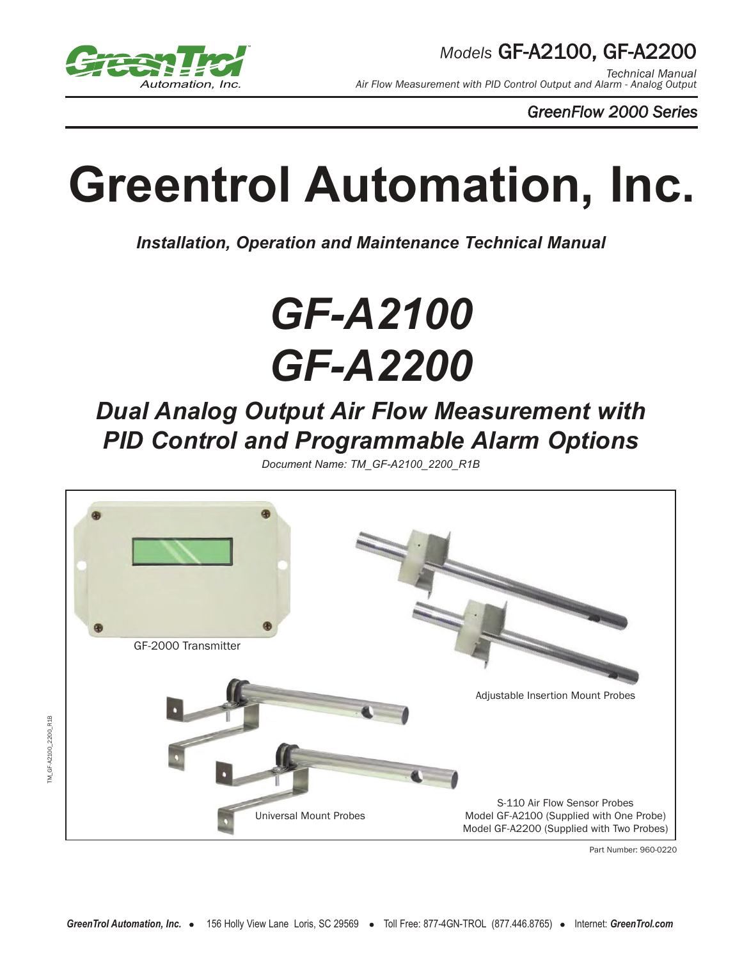

TM\_GF-A2100\_2200\_R1B

TM\_GF-A2100\_2200\_R1B

*Technical Manual Air Flow Measurement with PID Control Output and Alarm - Analog Output*

*GreenFlow 2000 Series*

# **Greentrol Automation, Inc.**

*Installation, Operation and Maintenance Technical Manual*

# *GF-A2100 GF-A2200*

# *Dual Analog Output Air Flow Measurement with PID Control and Programmable Alarm Options*

*Document Name: TM\_GF-A2100\_2200\_R1B*



Part Number: 960-0220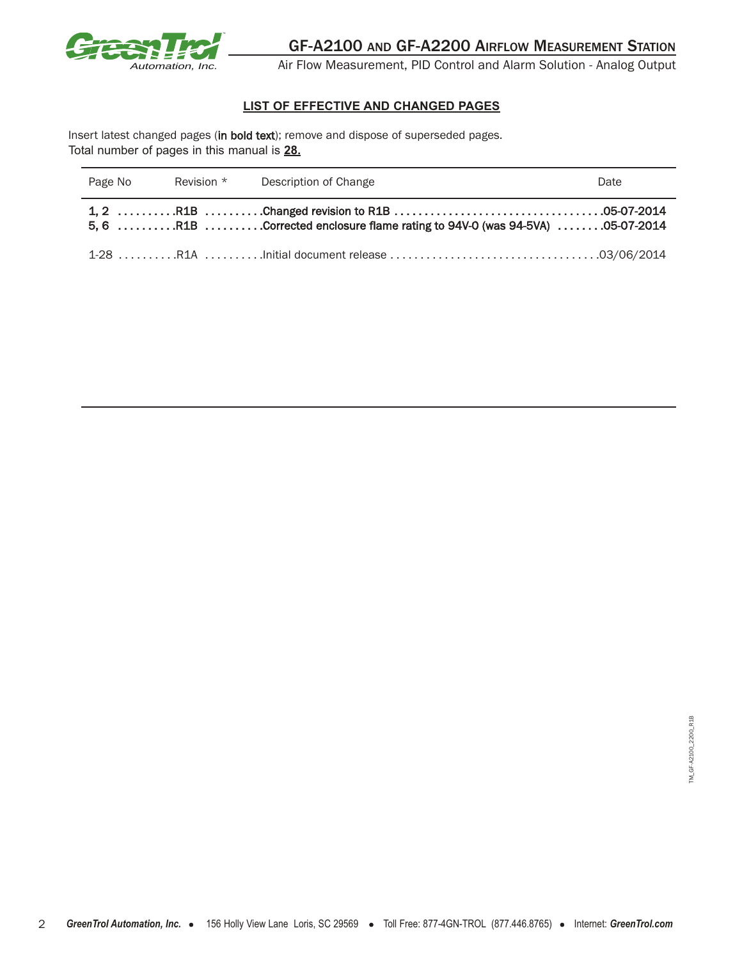

Air Flow Measurement, PID Control and Alarm Solution - Analog Output

#### **LIST OF EFFECTIVE AND CHANGED PAGES**

Insert latest changed pages (in bold text); remove and dispose of superseded pages. Total number of pages in this manual is **28.**

| Page No | Revision * | Description of Change                                                                                                                           | Date |
|---------|------------|-------------------------------------------------------------------------------------------------------------------------------------------------|------|
|         |            | $5, 6 \ldots \ldots \ldots$ R1B $\ldots \ldots \ldots$ Corrected enclosure flame rating to 94V-0 (was 94-5VA) $\ldots \ldots \ldots$ 05-07-2014 |      |
|         |            |                                                                                                                                                 |      |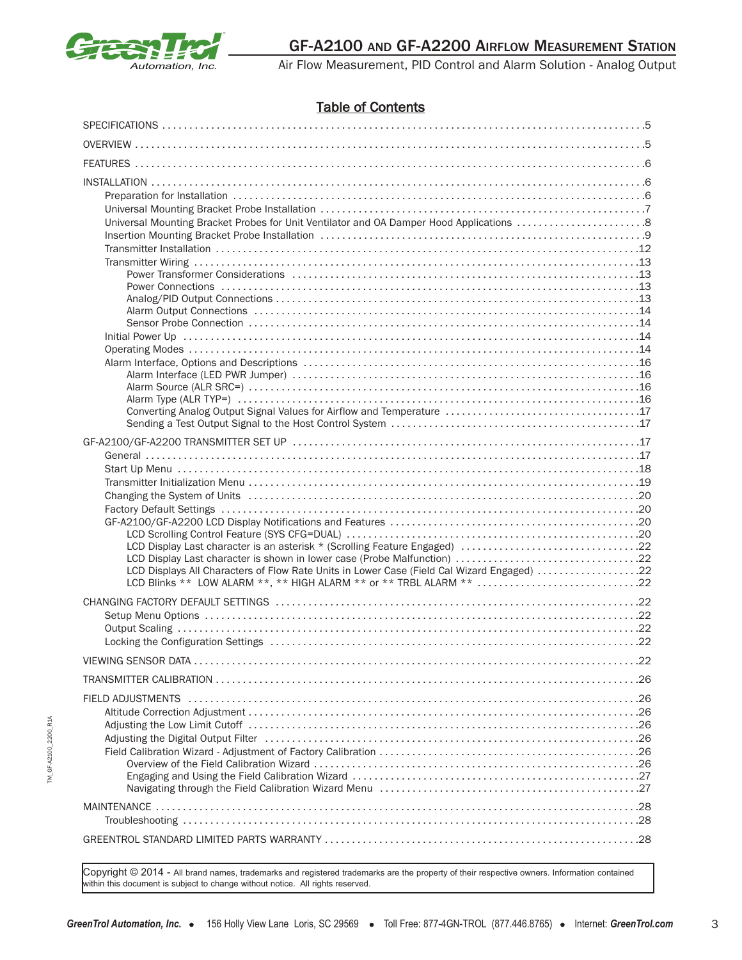

## Table of Contents

| Universal Mounting Bracket Probes for Unit Ventilator and OA Damper Hood Applications 8                        |  |
|----------------------------------------------------------------------------------------------------------------|--|
|                                                                                                                |  |
|                                                                                                                |  |
|                                                                                                                |  |
|                                                                                                                |  |
|                                                                                                                |  |
|                                                                                                                |  |
| LCD Displays All Characters of Flow Rate Units in Lower Case (Field Cal Wizard Engaged) 22                     |  |
| LCD Blinks ** LOW ALARM **, ** HIGH ALARM ** or ** TRBL ALARM ** 22                                            |  |
|                                                                                                                |  |
|                                                                                                                |  |
|                                                                                                                |  |
| Adjusting the Digital Output Filter (all contained according to the contained and the Digital Output Filter (a |  |
|                                                                                                                |  |
|                                                                                                                |  |

Copyright © 2014 - All brand names, trademarks and registered trademarks are the property of their respective owners. Information contained within this document is subject to change without notice. All rights reserved.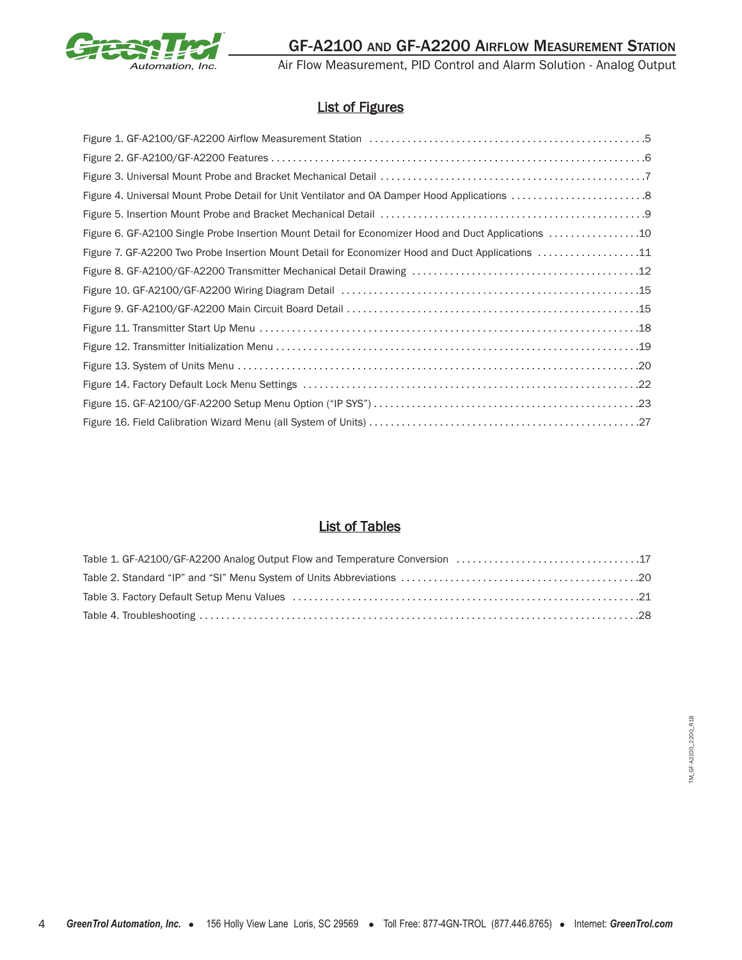

Air Flow Measurement, PID Control and Alarm Solution - Analog Output

## List of Figures

| Figure 6. GF-A2100 Single Probe Insertion Mount Detail for Economizer Hood and Duct Applications 10 |
|-----------------------------------------------------------------------------------------------------|
| Figure 7. GF-A2200 Two Probe Insertion Mount Detail for Economizer Hood and Duct Applications 11    |
|                                                                                                     |
|                                                                                                     |
|                                                                                                     |
|                                                                                                     |
|                                                                                                     |
|                                                                                                     |
|                                                                                                     |
|                                                                                                     |
|                                                                                                     |

## List of Tables

| Table 1. GF-A2100/GF-A2200 Analog Output Flow and Temperature Conversion 17                                                                                                         |  |
|-------------------------------------------------------------------------------------------------------------------------------------------------------------------------------------|--|
|                                                                                                                                                                                     |  |
| Table 3. Factory Default Setup Menu Values (all resumed and result in the content of the S. Factory Default Setup Menu Values (all resumed and result of the S. Patent of the S. 21 |  |
|                                                                                                                                                                                     |  |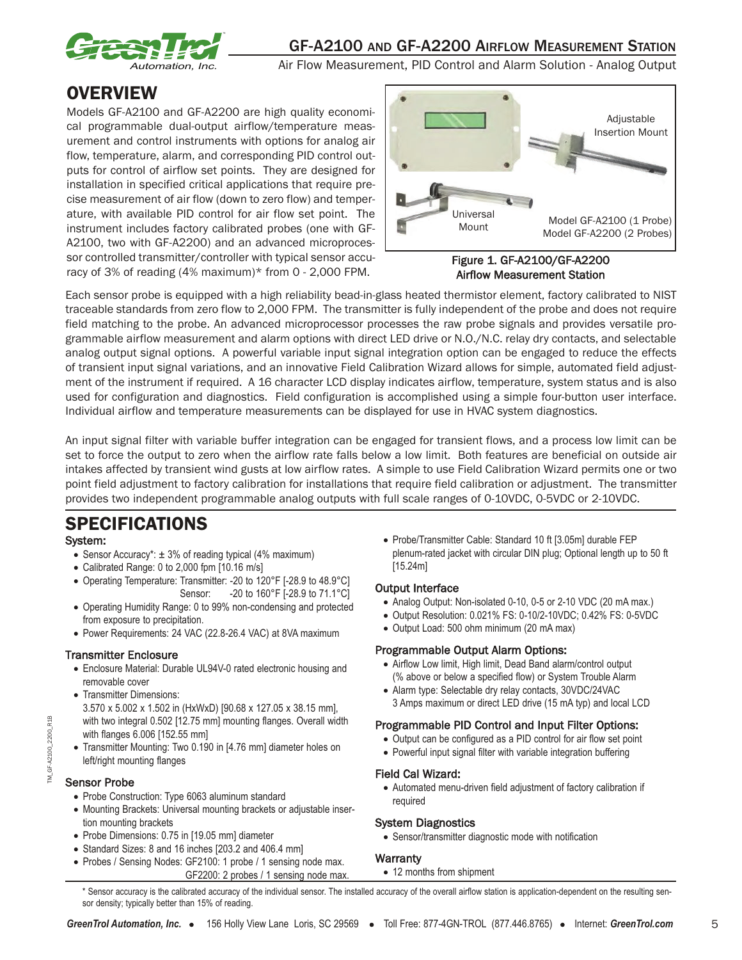

Air Flow Measurement, PID Control and Alarm Solution - Analog Output

# **OVERVIEW**

Models GF-A2100 and GF-A2200 are high quality economical programmable dual-output airflow/temperature measurement and control instruments with options for analog air flow, temperature, alarm, and corresponding PID control outputs for control of airflow set points. They are designed for installation in specified critical applications that require precise measurement of air flow (down to zero flow) and temperature, with available PID control for air flow set point. The instrument includes factory calibrated probes (one with GF-A2100, two with GF-A2200) and an advanced microprocessor controlled transmitter/controller with typical sensor accuracy of 3% of reading (4% maximum)\* from 0 - 2,000 FPM.



#### Figure 1. GF-A2100/GF-A2200 Airflow Measurement Station

Each sensor probe is equipped with a high reliability bead-in-glass heated thermistor element, factory calibrated to NIST traceable standards from zero flow to 2,000 FPM. The transmitter is fully independent of the probe and does not require field matching to the probe. An advanced microprocessor processes the raw probe signals and provides versatile programmable airflow measurement and alarm options with direct LED drive or N.O./N.C. relay dry contacts, and selectable analog output signal options. A powerful variable input signal integration option can be engaged to reduce the effects of transient input signal variations, and an innovative Field Calibration Wizard allows for simple, automated field adjustment of the instrument if required. A 16 character LCD display indicates airflow, temperature, system status and is also used for configuration and diagnostics. Field configuration is accomplished using a simple four-button user interface. Individual airflow and temperature measurements can be displayed for use in HVAC system diagnostics.

An input signal filter with variable buffer integration can be engaged for transient flows, and a process low limit can be set to force the output to zero when the airflow rate falls below a low limit. Both features are beneficial on outside air intakes affected by transient wind gusts at low airflow rates. A simple to use Field Calibration Wizard permits one or two point field adjustment to factory calibration for installations that require field calibration or adjustment. The transmitter provides two independent programmable analog outputs with full scale ranges of 0-10VDC, 0-5VDC or 2-10VDC.

# SPECIFICATIONS

#### System:

- Sensor Accuracy\*: ± 3% of reading typical (4% maximum)
- Calibrated Range: 0 to 2,000 fpm [10.16 m/s]
- Operating Temperature: Transmitter: -20 to 120°F [-28.9 to 48.9°C] Sensor: -20 to 160°F [-28.9 to 71.1°C]
- Operating Humidity Range: 0 to 99% non-condensing and protected from exposure to precipitation.
- Power Requirements: 24 VAC (22.8-26.4 VAC) at 8VA maximum

#### Transmitter Enclosure

- Enclosure Material: Durable UL94V-0 rated electronic housing and removable cover
- Transmitter Dimensions:
- 3.570 x 5.002 x 1.502 in (HxWxD) [90.68 x 127.05 x 38.15 mm], with two integral 0.502 [12.75 mm] mounting flanges. Overall width with flanges 6.006 [152.55 mm]
- Transmitter Mounting: Two 0.190 in [4.76 mm] diameter holes on left/right mounting flanges

#### Sensor Probe

- Probe Construction: Type 6063 aluminum standard
- Mounting Brackets: Universal mounting brackets or adjustable insertion mounting brackets
- Probe Dimensions: 0.75 in [19.05 mm] diameter
- Standard Sizes: 8 and 16 inches [203.2 and 406.4 mm]
- Probes / Sensing Nodes: GF2100: 1 probe / 1 sensing node max. GF2200: 2 probes / 1 sensing node max.

• Probe/Transmitter Cable: Standard 10 ft [3.05m] durable FEP plenum-rated jacket with circular DIN plug; Optional length up to 50 ft [15.24m]

#### Output Interface

- Analog Output: Non-isolated 0-10, 0-5 or 2-10 VDC (20 mA max.)
- Output Resolution: 0.021% FS: 0-10/2-10VDC; 0.42% FS: 0-5VDC
- Output Load: 500 ohm minimum (20 mA max)

#### Programmable Output Alarm Options:

- Airflow Low limit, High limit, Dead Band alarm/control output (% above or below a specified flow) or System Trouble Alarm
- Alarm type: Selectable dry relay contacts, 30VDC/24VAC 3 Amps maximum or direct LED drive (15 mA typ) and local LCD

#### Programmable PID Control and Input Filter Options:

- Output can be configured as a PID control for air flow set point
- Powerful input signal filter with variable integration buffering

#### Field Cal Wizard:

• Automated menu-driven field adjustment of factory calibration if required

5

#### System Diagnostics

• Sensor/transmitter diagnostic mode with notification

#### **Warranty**

• 12 months from shipment

\* Sensor accuracy is the calibrated accuracy of the individual sensor. The installed accuracy of the overall airflow station is application-dependent on the resulting sensor density; typically better than 15% of reading.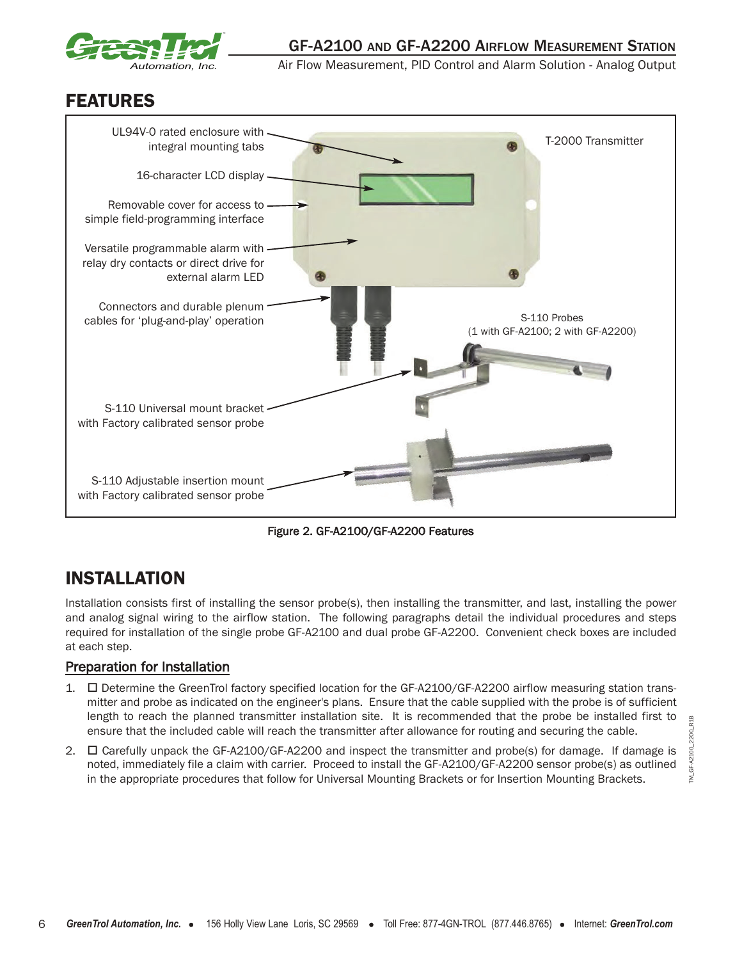

# FEATURES



Figure 2. GF-A2100/GF-A2200 Features

# INSTALLATION

Installation consists first of installing the sensor probe(s), then installing the transmitter, and last, installing the power and analog signal wiring to the airflow station. The following paragraphs detail the individual procedures and steps required for installation of the single probe GF-A2100 and dual probe GF-A2200. Convenient check boxes are included at each step.

## Preparation for Installation

- 1. **I** Determine the GreenTrol factory specified location for the GF-A2100/GF-A2200 airflow measuring station transmitter and probe as indicated on the engineer's plans. Ensure that the cable supplied with the probe is of sufficient length to reach the planned transmitter installation site. It is recommended that the probe be installed first to ensure that the included cable will reach the transmitter after allowance for routing and securing the cable.
- 2. □ Carefully unpack the GF-A2100/GF-A2200 and inspect the transmitter and probe(s) for damage. If damage is noted, immediately file a claim with carrier. Proceed to install the GF-A2100/GF-A2200 sensor probe(s) as outlined in the appropriate procedures that follow for Universal Mounting Brackets or for Insertion Mounting Brackets.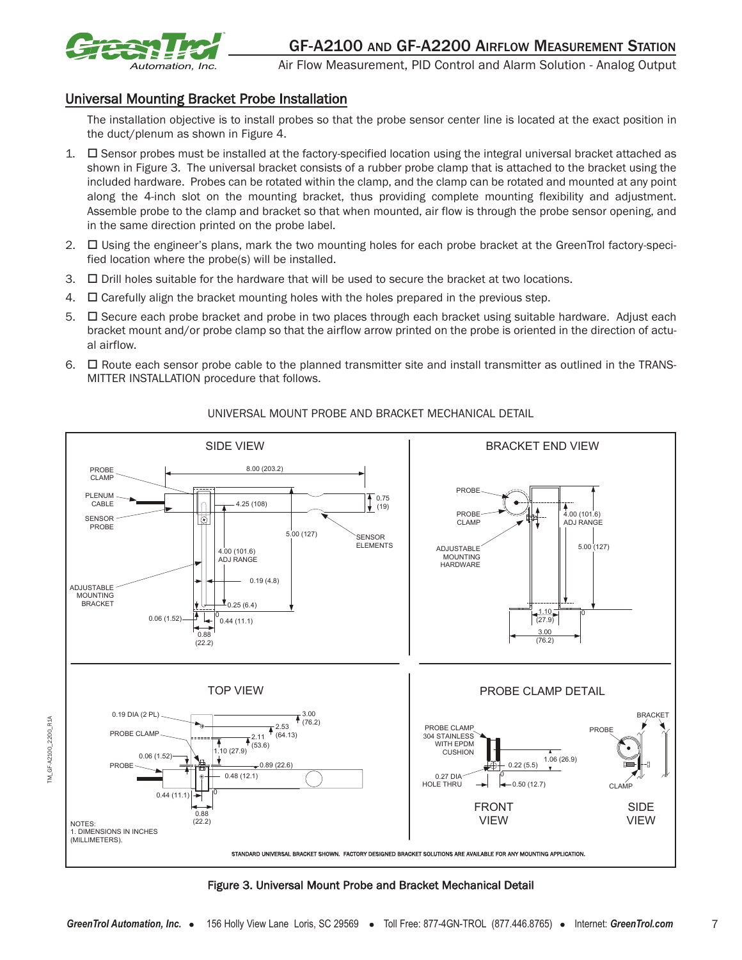

R<sub>1</sub>A

A2100 2200 Ġ M Air Flow Measurement, PID Control and Alarm Solution - Analog Output

## Universal Mounting Bracket Probe Installation

The installation objective is to install probes so that the probe sensor center line is located at the exact position in the duct/plenum as shown in Figure 4.

- 1.  $\Box$  Sensor probes must be installed at the factory-specified location using the integral universal bracket attached as shown in Figure 3. The universal bracket consists of a rubber probe clamp that is attached to the bracket using the included hardware. Probes can be rotated within the clamp, and the clamp can be rotated and mounted at any point along the 4-inch slot on the mounting bracket, thus providing complete mounting flexibility and adjustment. Assemble probe to the clamp and bracket so that when mounted, air flow is through the probe sensor opening, and in the same direction printed on the probe label.
- 2. □ Using the engineer's plans, mark the two mounting holes for each probe bracket at the GreenTrol factory-specified location where the probe(s) will be installed.
- 3. - $\Box$  Drill holes suitable for the hardware that will be used to secure the bracket at two locations.
- $4.$   $\Box$  Carefully align the bracket mounting holes with the holes prepared in the previous step.
- 5.  $\Box$  Secure each probe bracket and probe in two places through each bracket using suitable hardware. Adjust each bracket mount and/or probe clamp so that the airflow arrow printed on the probe is oriented in the direction of actual airflow.
- 6.  $\Box$  Route each sensor probe cable to the planned transmitter site and install transmitter as outlined in the TRANS-MITTER INSTALLATION procedure that follows.



## UNIVERSAL MOUNT PROBE AND BRACKET MECHANICAL DETAIL

Figure 3. Universal Mount Probe and Bracket Mechanical Detail

7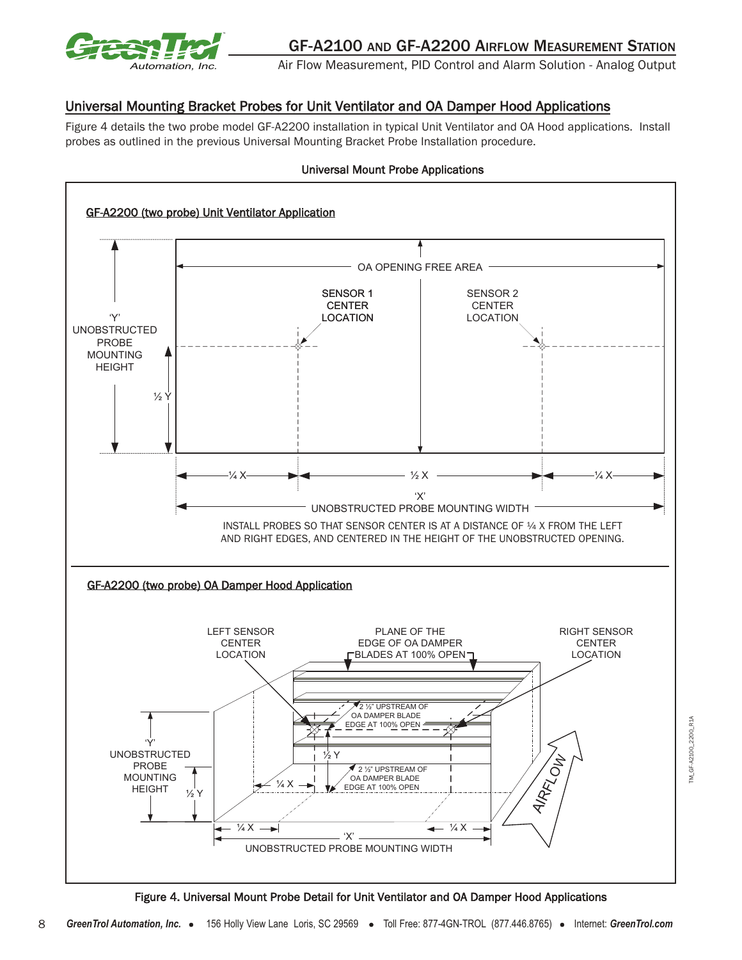

## Universal Mounting Bracket Probes for Unit Ventilator and OA Damper Hood Applications

Figure 4 details the two probe model GF-A2200 installation in typical Unit Ventilator and OA Hood applications. Install probes as outlined in the previous Universal Mounting Bracket Probe Installation procedure.



Universal Mount Probe Applications

Figure 4. Universal Mount Probe Detail for Unit Ventilator and OA Damper Hood Applications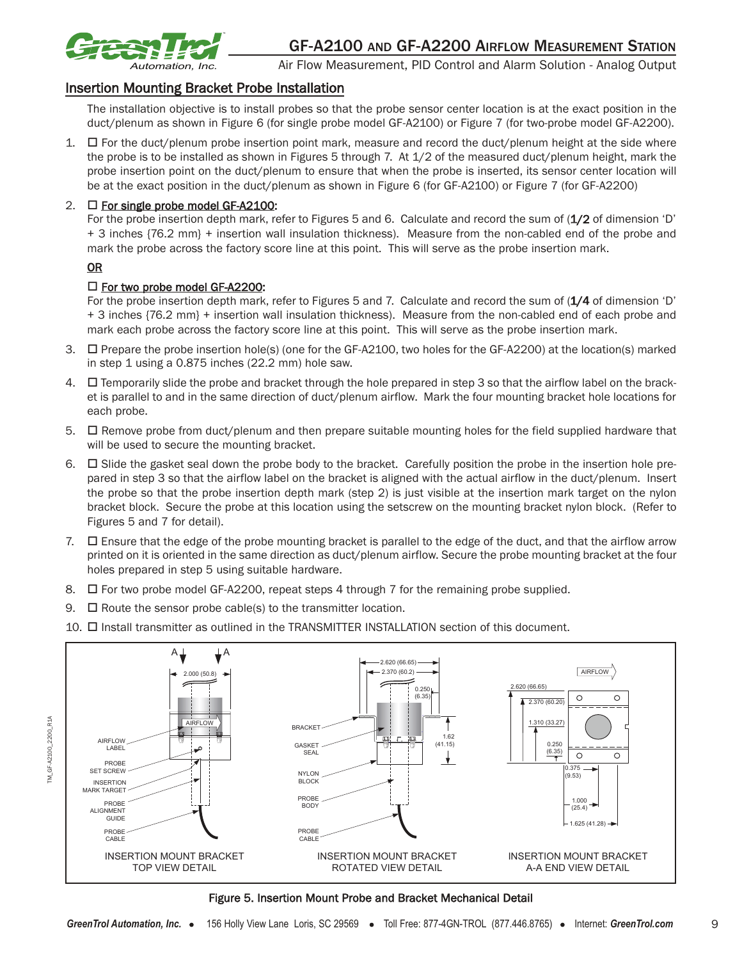

### Insertion Mounting Bracket Probe Installation

The installation objective is to install probes so that the probe sensor center location is at the exact position in the duct/plenum as shown in Figure 6 (for single probe model GF-A2100) or Figure 7 (for two-probe model GF-A2200).

1.  $\Box$  For the duct/plenum probe insertion point mark, measure and record the duct/plenum height at the side where the probe is to be installed as shown in Figures 5 through 7. At 1/2 of the measured duct/plenum height, mark the probe insertion point on the duct/plenum to ensure that when the probe is inserted, its sensor center location will be at the exact position in the duct/plenum as shown in Figure 6 (for GF-A2100) or Figure 7 (for GF-A2200)

## 2.  $\Box$  For single probe model GF-A2100:

For the probe insertion depth mark, refer to Figures 5 and 6. Calculate and record the sum of (1/2 of dimension 'D' + 3 inches {76.2 mm} + insertion wall insulation thickness). Measure from the non-cabled end of the probe and mark the probe across the factory score line at this point. This will serve as the probe insertion mark.

#### **OR**

## □ For two probe model GF-A2200:

For the probe insertion depth mark, refer to Figures 5 and 7. Calculate and record the sum of (1/4 of dimension 'D' + 3 inches {76.2 mm} + insertion wall insulation thickness). Measure from the non-cabled end of each probe and mark each probe across the factory score line at this point. This will serve as the probe insertion mark.

- 3.  $\Box$  Prepare the probe insertion hole(s) (one for the GF-A2100, two holes for the GF-A2200) at the location(s) marked in step 1 using a 0.875 inches (22.2 mm) hole saw.
- 4.  $\Box$  Temporarily slide the probe and bracket through the hole prepared in step 3 so that the airflow label on the bracket is parallel to and in the same direction of duct/plenum airflow. Mark the four mounting bracket hole locations for each probe.
- 5.  $\Box$  Remove probe from duct/plenum and then prepare suitable mounting holes for the field supplied hardware that will be used to secure the mounting bracket.
- 6.  $\Box$  Slide the gasket seal down the probe body to the bracket. Carefully position the probe in the insertion hole prepared in step 3 so that the airflow label on the bracket is aligned with the actual airflow in the duct/plenum. Insert the probe so that the probe insertion depth mark (step 2) is just visible at the insertion mark target on the nylon bracket block. Secure the probe at this location using the setscrew on the mounting bracket nylon block. (Refer to Figures 5 and 7 for detail).
- 7. □ Ensure that the edge of the probe mounting bracket is parallel to the edge of the duct, and that the airflow arrow printed on it is oriented in the same direction as duct/plenum airflow. Secure the probe mounting bracket at the four holes prepared in step 5 using suitable hardware.
- 8.  $\Box$  For two probe model GF-A2200, repeat steps 4 through 7 for the remaining probe supplied.
- 9.  $\Box$  Route the sensor probe cable(s) to the transmitter location.
- 10.  $\Box$  Install transmitter as outlined in the TRANSMITTER INSTALLATION section of this document.



#### Figure 5. Insertion Mount Probe and Bracket Mechanical Detail

9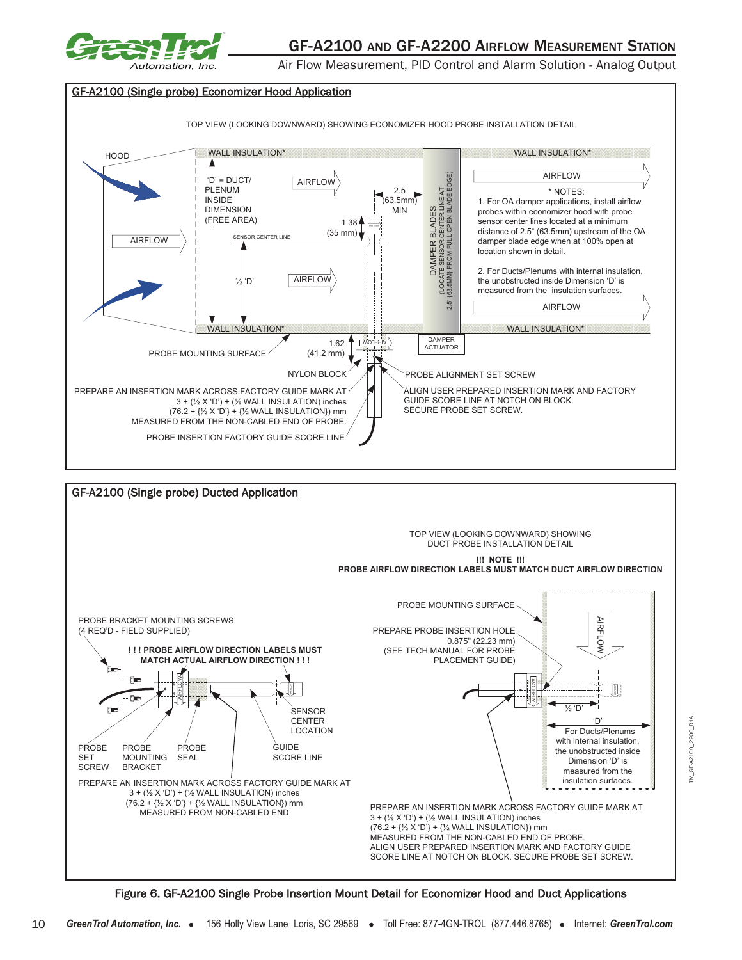



Figure 6. GF-A2100 Single Probe Insertion Mount Detail for Economizer Hood and Duct Applications

SCORE LINE AT NOTCH ON BLOCK. SECURE PROBE SET SCREW.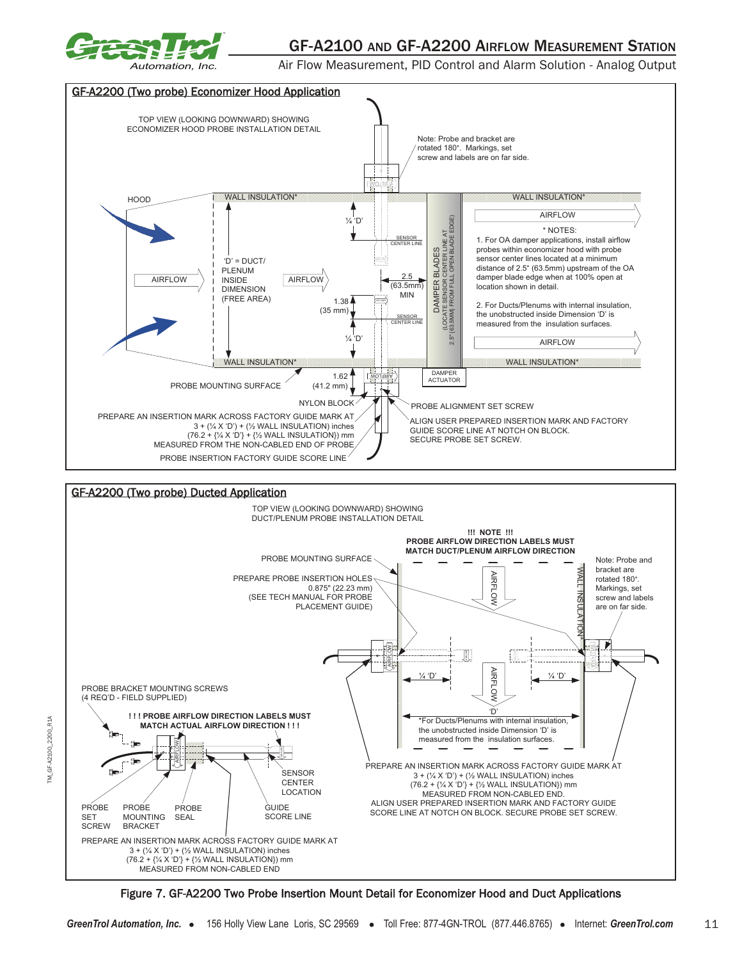

TM\_GF-A2100\_2200\_R1A

 $-6F - A2100 - 2200$ 

M

R<sub>1</sub>A

## GF-A2100 AND GF-A2200 AIRFLOW MEASUREMENT STATION

Air Flow Measurement, PID Control and Alarm Solution - Analog Output





Figure 7. GF-A2200 Two Probe Insertion Mount Detail for Economizer Hood and Duct Applications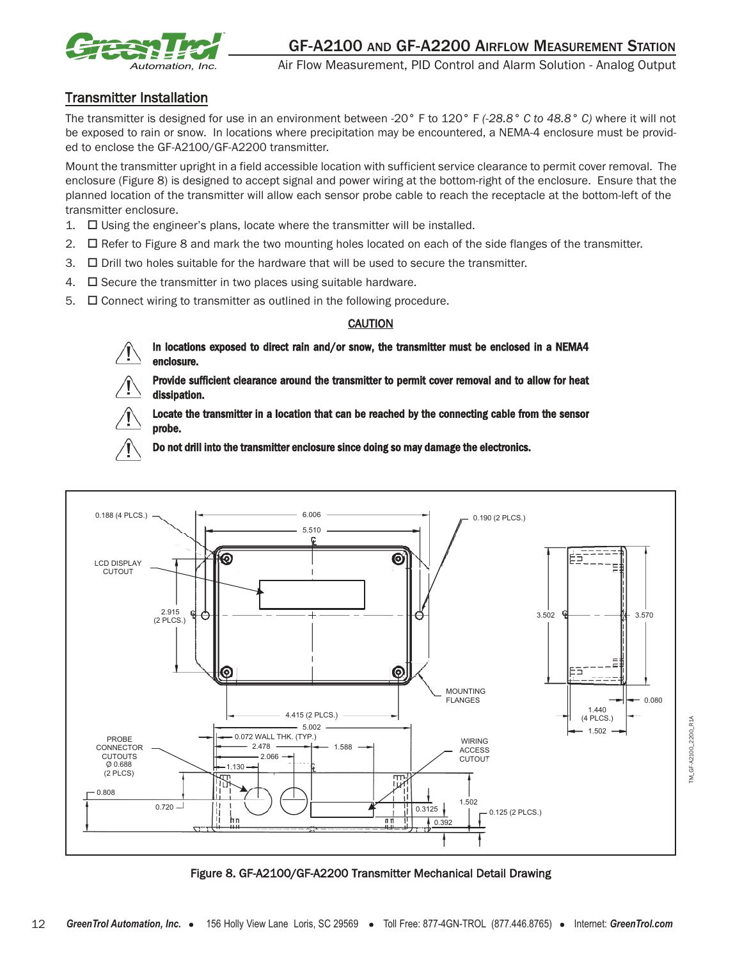

## Transmitter Installation

The transmitter is designed for use in an environment between -20° F to 120° F *(-28.8° C to 48.8° C)* where it will not be exposed to rain or snow. In locations where precipitation may be encountered, a NEMA-4 enclosure must be provided to enclose the GF-A2100/GF-A2200 transmitter.

Mount the transmitter upright in a field accessible location with sufficient service clearance to permit cover removal. The enclosure (Figure 8) is designed to accept signal and power wiring at the bottom-right of the enclosure. Ensure that the planned location of the transmitter will allow each sensor probe cable to reach the receptacle at the bottom-left of the transmitter enclosure.

- $1.$   $\Box$  Using the engineer's plans, locate where the transmitter will be installed.
- $2.$  $\Box$  Refer to Figure 8 and mark the two mounting holes located on each of the side flanges of the transmitter.
- $3.$   $\Box$  Drill two holes suitable for the hardware that will be used to secure the transmitter.
- $4.$   $\Box$  Secure the transmitter in two places using suitable hardware.
- $5.$   $\Box$  Connect wiring to transmitter as outlined in the following procedure.

#### **CAUTION**

In locations exposed to direct rain and/or snow, the transmitter must be enclosed in a NEMA4 enclosure.

Provide sufficient clearance around the transmitter to permit cover removal and to allow for heat dissipation.



Locate the transmitter in a location that can be reached by the connecting cable from the sensor probe.

Do not drill into the transmitter enclosure since doing so may damage the electronics.



Figure 8. GF-A2100/GF-A2200 Transmitter Mechanical Detail Drawing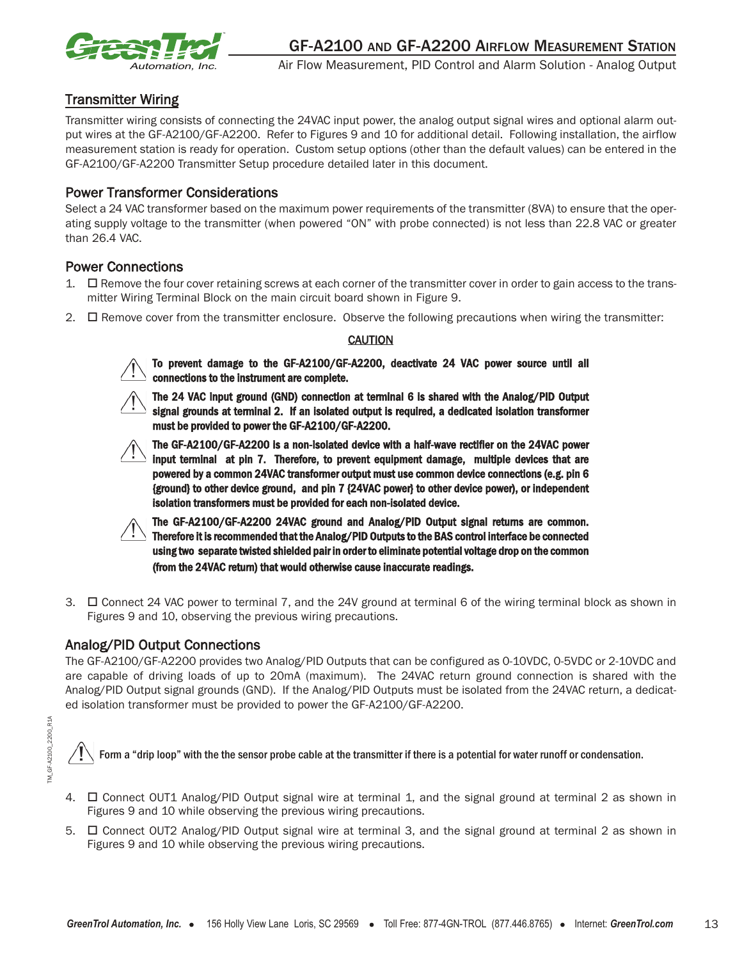

## Transmitter Wiring

Transmitter wiring consists of connecting the 24VAC input power, the analog output signal wires and optional alarm output wires at the GF-A2100/GF-A2200. Refer to Figures 9 and 10 for additional detail. Following installation, the airflow measurement station is ready for operation. Custom setup options (other than the default values) can be entered in the GF-A2100/GF-A2200 Transmitter Setup procedure detailed later in this document.

#### Power Transformer Considerations

Select a 24 VAC transformer based on the maximum power requirements of the transmitter (8VA) to ensure that the operating supply voltage to the transmitter (when powered "ON" with probe connected) is not less than 22.8 VAC or greater than 26.4 VAC.

#### Power Connections

- 1.  $\Box$  Remove the four cover retaining screws at each corner of the transmitter cover in order to gain access to the transmitter Wiring Terminal Block on the main circuit board shown in Figure 9.
- 2.  $\Box$  Remove cover from the transmitter enclosure. Observe the following precautions when wiring the transmitter:

#### **CAUTION**



To prevent damage to the GF-A2100/GF-A2200, deactivate 24 VAC power source until all connections to the instrument are complete.



The 24 VAC input ground (GND) connection at terminal 6 is shared with the Analog/PID Output signal grounds at terminal 2. If an isolated output is required, a dedicated isolation transformer must be provided to power the GF-A2100/GF-A2200.



The GF-A2100/GF-A2200 is a non-isolated device with a half-wave rectifier on the 24VAC power input terminal at pin 7. Therefore, to prevent equipment damage, multiple devices that are powered by a common 24VAC transformer output must use common device connections (e.g. pin 6 {ground} to other device ground, and pin 7 {24VAC power} to other device power), or independent isolation transformers must be provided for each non-isolated device.



The GF-A2100/GF-A2200 24VAC ground and Analog/PID Output signal returns are common. Therefore it is recommended that the Analog/PID Outputs to the BAS control interface be connected using two separate twisted shielded pair in order to eliminate potential voltage drop on the common (from the 24VAC return) that would otherwise cause inaccurate readings.

3.  $\Box$  Connect 24 VAC power to terminal 7, and the 24V ground at terminal 6 of the wiring terminal block as shown in Figures 9 and 10, observing the previous wiring precautions.

#### Analog/PID Output Connections

The GF-A2100/GF-A2200 provides two Analog/PID Outputs that can be configured as 0-10VDC, 0-5VDC or 2-10VDC and are capable of driving loads of up to 20mA (maximum). The 24VAC return ground connection is shared with the Analog/PID Output signal grounds (GND). If the Analog/PID Outputs must be isolated from the 24VAC return, a dedicated isolation transformer must be provided to power the GF-A2100/GF-A2200.

Form a "drip loop" with the the sensor probe cable at the transmitter if there is a potential for water runoff or condensation.

- 4.  $\Box$  Connect OUT1 Analog/PID Output signal wire at terminal 1, and the signal ground at terminal 2 as shown in Figures 9 and 10 while observing the previous wiring precautions.
- 5.  $\Box$  Connect OUT2 Analog/PID Output signal wire at terminal 3, and the signal ground at terminal 2 as shown in Figures 9 and 10 while observing the previous wiring precautions.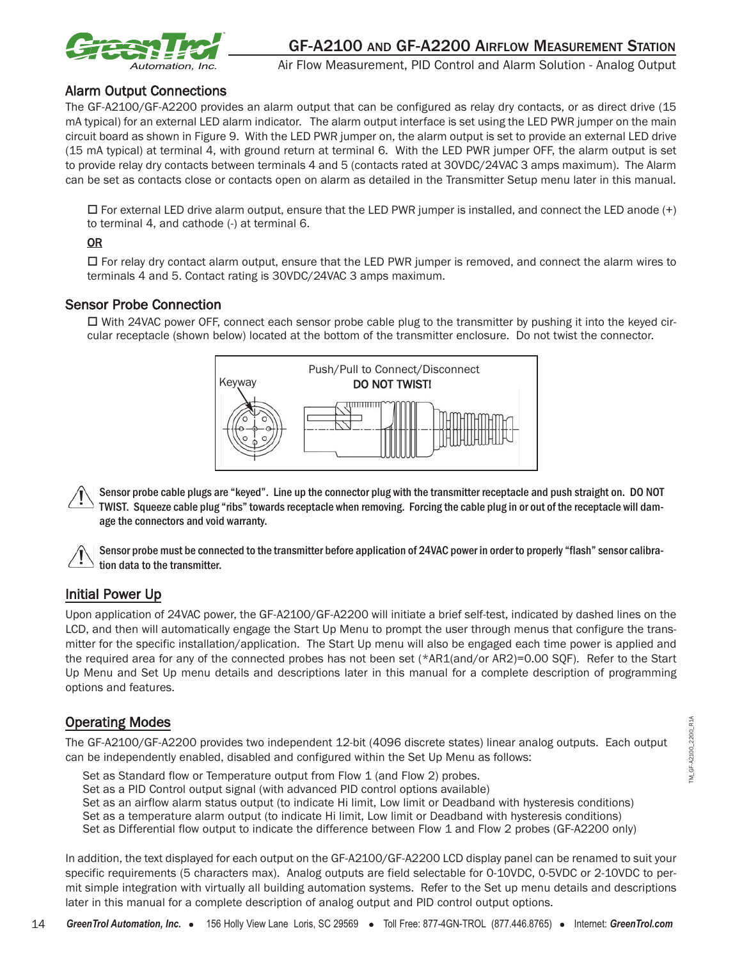

## Alarm Output Connections

The GF-A2100/GF-A2200 provides an alarm output that can be configured as relay dry contacts, or as direct drive (15 mA typical) for an external LED alarm indicator. The alarm output interface is set using the LED PWR jumper on the main circuit board as shown in Figure 9. With the LED PWR jumper on, the alarm output is set to provide an external LED drive (15 mA typical) at terminal 4, with ground return at terminal 6. With the LED PWR jumper OFF, the alarm output is set to provide relay dry contacts between terminals 4 and 5 (contacts rated at 30VDC/24VAC 3 amps maximum). The Alarm can be set as contacts close or contacts open on alarm as detailed in the Transmitter Setup menu later in this manual.

- For external LED drive alarm output, ensure that the LED PWR jumper is installed, and connect the LED anode (+) to terminal 4, and cathode (-) at terminal 6.

#### OR

□ For relay dry contact alarm output, ensure that the LED PWR jumper is removed, and connect the alarm wires to terminals 4 and 5. Contact rating is 30VDC/24VAC 3 amps maximum.

#### Sensor Probe Connection

□ With 24VAC power OFF, connect each sensor probe cable plug to the transmitter by pushing it into the keyed circular receptacle (shown below) located at the bottom of the transmitter enclosure. Do not twist the connector.



Sensor probe cable plugs are "keyed". Line up the connector plug with the transmitter receptacle and push straight on. DO NOT TWIST. Squeeze cable plug "ribs" towards receptacle when removing. Forcing the cable plug in or out of the receptacle will damage the connectors and void warranty.

Sensor probe must be connected to the transmitter before application of 24VAC power in order to properly "flash" sensor calibration data to the transmitter.

## Initial Power Up

Upon application of 24VAC power, the GF-A2100/GF-A2200 will initiate a brief self-test, indicated by dashed lines on the LCD, and then will automatically engage the Start Up Menu to prompt the user through menus that configure the transmitter for the specific installation/application. The Start Up menu will also be engaged each time power is applied and the required area for any of the connected probes has not been set (\*AR1(and/or AR2)=0.00 SQF). Refer to the Start Up Menu and Set Up menu details and descriptions later in this manual for a complete description of programming options and features.

## Operating Modes

The GF-A2100/GF-A2200 provides two independent 12-bit (4096 discrete states) linear analog outputs. Each output can be independently enabled, disabled and configured within the Set Up Menu as follows:

Set as Standard flow or Temperature output from Flow 1 (and Flow 2) probes.

Set as a PID Control output signal (with advanced PID control options available)

Set as an airflow alarm status output (to indicate Hi limit, Low limit or Deadband with hysteresis conditions)

Set as a temperature alarm output (to indicate Hi limit, Low limit or Deadband with hysteresis conditions)

Set as Differential flow output to indicate the difference between Flow 1 and Flow 2 probes (GF-A2200 only)

In addition, the text displayed for each output on the GF-A2100/GF-A2200 LCD display panel can be renamed to suit your specific requirements (5 characters max). Analog outputs are field selectable for 0-10VDC, 0-5VDC or 2-10VDC to permit simple integration with virtually all building automation systems. Refer to the Set up menu details and descriptions later in this manual for a complete description of analog output and PID control output options.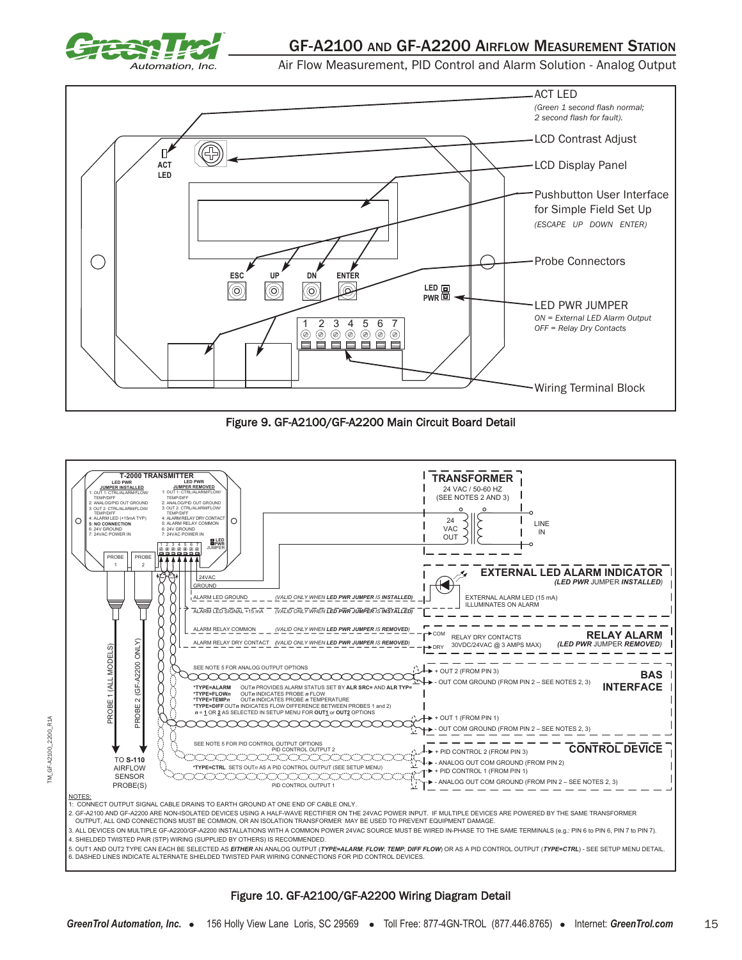

Air Flow Measurement, PID Control and Alarm Solution - Analog Output



Figure 9. GF-A2100/GF-A2200 Main Circuit Board Detail



#### Figure 10. GF-A2100/GF-A2200 Wiring Diagram Detail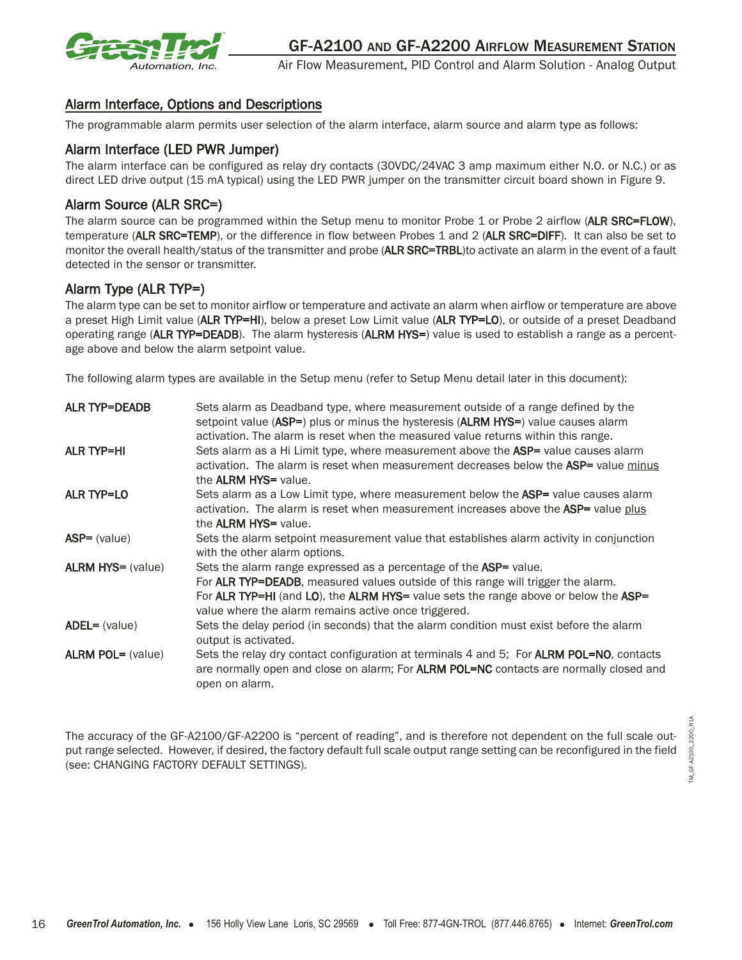

## Alarm Interface, Options and Descriptions

The programmable alarm permits user selection of the alarm interface, alarm source and alarm type as follows:

## Alarm Interface (LED PWR Jumper)

The alarm interface can be configured as relay dry contacts (30VDC/24VAC 3 amp maximum either N.O. or N.C.) or as direct LED drive output (15 mA typical) using the LED PWR jumper on the transmitter circuit board shown in Figure 9.

## Alarm Source (ALR SRC=)

The alarm source can be programmed within the Setup menu to monitor Probe 1 or Probe 2 airflow (ALR SRC=FLOW), temperature (ALR SRC=TEMP), or the difference in flow between Probes 1 and 2 (ALR SRC=DIFF). It can also be set to monitor the overall health/status of the transmitter and probe (ALR SRC=TRBL)to activate an alarm in the event of a fault detected in the sensor or transmitter.

## Alarm Type (ALR TYP=)

The alarm type can be set to monitor airflow or temperature and activate an alarm when airflow or temperature are above a preset High Limit value (ALR TYP=HI), below a preset Low Limit value (ALR TYP=LO), or outside of a preset Deadband operating range (ALR TYP=DEADB). The alarm hysteresis (ALRM HYS=) value is used to establish a range as a percentage above and below the alarm setpoint value.

The following alarm types are available in the Setup menu (refer to Setup Menu detail later in this document):

| <b>ALR TYP=DEADB</b>     | Sets alarm as Deadband type, where measurement outside of a range defined by the<br>setpoint value (ASP=) plus or minus the hysteresis (ALRM HYS=) value causes alarm<br>activation. The alarm is reset when the measured value returns within this range.                                                   |
|--------------------------|--------------------------------------------------------------------------------------------------------------------------------------------------------------------------------------------------------------------------------------------------------------------------------------------------------------|
| <b>ALR TYP=HI</b>        | Sets alarm as a Hi Limit type, where measurement above the ASP= value causes alarm<br>activation. The alarm is reset when measurement decreases below the ASP= value minus<br>the <b>ALRM HYS=</b> value.                                                                                                    |
| ALR TYP=LO               | Sets alarm as a Low Limit type, where measurement below the ASP= value causes alarm<br>activation. The alarm is reset when measurement increases above the ASP= value plus<br>the <b>ALRM HYS</b> = value.                                                                                                   |
| $ASP = (value)$          | Sets the alarm setpoint measurement value that establishes alarm activity in conjunction<br>with the other alarm options.                                                                                                                                                                                    |
| <b>ALRM HYS= (value)</b> | Sets the alarm range expressed as a percentage of the ASP= value.<br>For <b>ALR TYP=DEADB</b> , measured values outside of this range will trigger the alarm.<br>For ALR TYP=HI (and LO), the ALRM HYS= value sets the range above or below the ASP=<br>value where the alarm remains active once triggered. |
| $ADEL = (value)$         | Sets the delay period (in seconds) that the alarm condition must exist before the alarm<br>output is activated.                                                                                                                                                                                              |
| <b>ALRM POL= (value)</b> | Sets the relay dry contact configuration at terminals 4 and 5; For ALRM POL=NO, contacts<br>are normally open and close on alarm; For ALRM POL=NC contacts are normally closed and<br>open on alarm.                                                                                                         |

The accuracy of the GF-A2100/GF-A2200 is "percent of reading", and is therefore not dependent on the full scale output range selected. However, if desired, the factory default full scale output range setting can be reconfigured in the field (see: CHANGING FACTORY DEFAULT SETTINGS).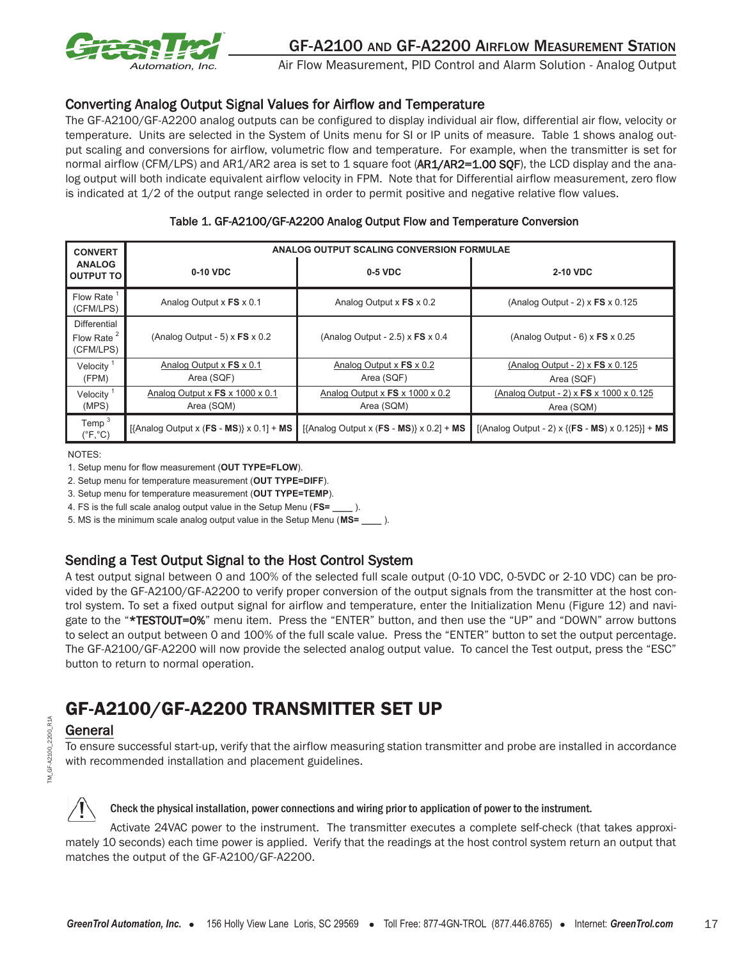

## Converting Analog Output Signal Values for Airflow and Temperature

The GF-A2100/GF-A2200 analog outputs can be configured to display individual air flow, differential air flow, velocity or temperature. Units are selected in the System of Units menu for SI or IP units of measure. Table 1 shows analog output scaling and conversions for airflow, volumetric flow and temperature. For example, when the transmitter is set for normal airflow (CFM/LPS) and AR1/AR2 area is set to 1 square foot (AR1/AR2=1.00 SQF), the LCD display and the analog output will both indicate equivalent airflow velocity in FPM. Note that for Differential airflow measurement, zero flow is indicated at 1/2 of the output range selected in order to permit positive and negative relative flow values.

| <b>CONVERT</b>                                      | ANALOG OUTPUT SCALING CONVERSION FORMULAE                   |                                                             |                                                              |  |  |
|-----------------------------------------------------|-------------------------------------------------------------|-------------------------------------------------------------|--------------------------------------------------------------|--|--|
| <b>ANALOG</b><br><b>OUTPUT TO</b>                   | 0-10 VDC                                                    | 0-5 VDC                                                     | 2-10 VDC                                                     |  |  |
| <b>Flow Rate</b><br>(CFM/LPS)                       | Analog Output x FS x 0.1                                    | Analog Output x FS x 0.2                                    | (Analog Output - 2) $\times$ FS $\times$ 0.125               |  |  |
| Differential<br>Flow Rate <sup>2</sup><br>(CFM/LPS) | (Analog Output - 5) $\times$ FS $\times$ 0.2                | (Analog Output - 2.5) $\times$ FS $\times$ 0.4              | (Analog Output - $6$ ) x FS x 0.25                           |  |  |
| Velocity $1$<br>(FPM)                               | Analog Output $\times$ <b>FS</b> $\times$ 0.1<br>Area (SQF) | Analog Output $x$ FS $x$ 0.2<br>Area (SQF)                  | (Analog Output - 2) $\times$ FS $\times$ 0.125<br>Area (SQF) |  |  |
| Velocity<br>(MPS)                                   | Analog Output x FS x 1000 x 0.1<br>Area (SQM)               | Analog Output x $FS \times 1000 \times 0.2$<br>Area (SQM)   | (Analog Output - 2) x FS x 1000 x 0.125<br>Area (SQM)        |  |  |
| Temp $3$<br>$(^{\circ}F, ^{\circ}C)$                | [{Analog Output x (FS - MS)} $\times$ 0.1] + MS             | $[$ {Analog Output x ( <b>FS - MS</b> )} x 0.2] + <b>MS</b> | [(Analog Output - 2) x {(FS - MS) x $0.125$ }] + MS          |  |  |

NOTES:

1. Setup menu for flow measurement (**OUT TYPE=FLOW**).

2. Setup menu for temperature measurement (**OUT TYPE=DIFF**).

3. Setup menu for temperature measurement (**OUT TYPE=TEMP**).

4. FS is the full scale analog output value in the Setup Menu (**FS= \_\_\_\_** ).

5. MS is the minimum scale analog output value in the Setup Menu (**MS= \_\_\_\_** ).

## Sending a Test Output Signal to the Host Control System

A test output signal between 0 and 100% of the selected full scale output (0-10 VDC, 0-5VDC or 2-10 VDC) can be provided by the GF-A2100/GF-A2200 to verify proper conversion of the output signals from the transmitter at the host control system. To set a fixed output signal for airflow and temperature, enter the Initialization Menu (Figure 12) and navigate to the "\*TESTOUT=0%" menu item. Press the "ENTER" button, and then use the "UP" and "DOWN" arrow buttons to select an output between 0 and 100% of the full scale value. Press the "ENTER" button to set the output percentage. The GF-A2100/GF-A2200 will now provide the selected analog output value. To cancel the Test output, press the "ESC" button to return to normal operation.

# GF-A2100/GF-A2200 TRANSMITTER SET UP

## General

To ensure successful start-up, verify that the airflow measuring station transmitter and probe are installed in accordance with recommended installation and placement guidelines.

TM\_GF-A2100\_2200\_R1A TM GF-A2100 2200

R<sub>1</sub>A

#### Check the physical installation, power connections and wiring prior to application of power to the instrument.

Activate 24VAC power to the instrument. The transmitter executes a complete self-check (that takes approximately 10 seconds) each time power is applied. Verify that the readings at the host control system return an output that matches the output of the GF-A2100/GF-A2200.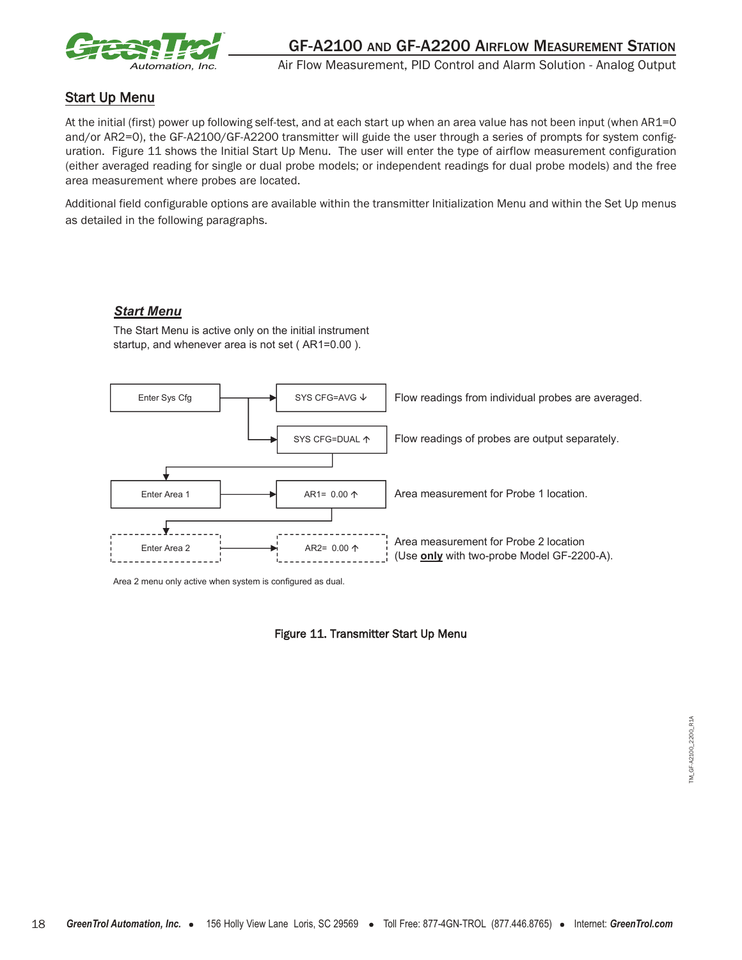

## Start Up Menu

At the initial (first) power up following self-test, and at each start up when an area value has not been input (when AR1=0 and/or AR2=0), the GF-A2100/GF-A2200 transmitter will guide the user through a series of prompts for system configuration. Figure 11 shows the Initial Start Up Menu. The user will enter the type of airflow measurement configuration (either averaged reading for single or dual probe models; or independent readings for dual probe models) and the free area measurement where probes are located.

Additional field configurable options are available within the transmitter Initialization Menu and within the Set Up menus as detailed in the following paragraphs.

#### *Start Menu*

The Start Menu is active only on the initial instrument startup, and whenever area is not set ( AR1=0.00 ).



Area 2 menu only active when system is configured as dual.

#### Figure 11. Transmitter Start Up Menu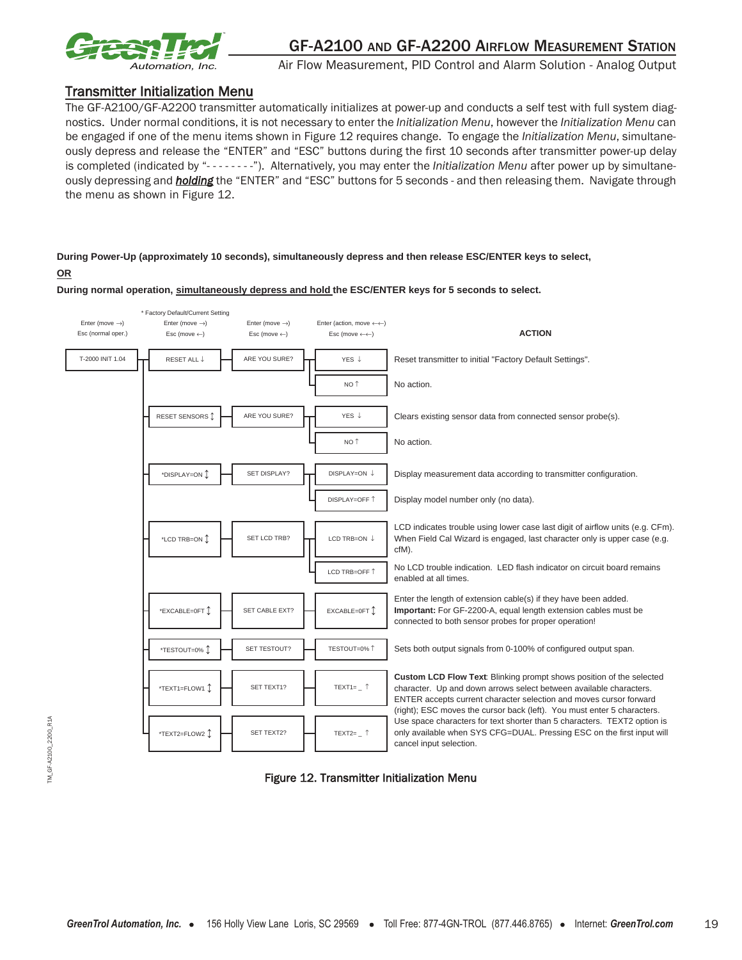

#### Transmitter Initialization Menu

The GF-A2100/GF-A2200 transmitter automatically initializes at power-up and conducts a self test with full system diagnostics. Under normal conditions, it is not necessary to enter the *Initialization Menu*, however the *Initialization Menu* can be engaged if one of the menu items shown in Figure 12 requires change. To engage the *Initialization Menu*, simultaneously depress and release the "ENTER" and "ESC" buttons during the first 10 seconds after transmitter power-up delay is completed (indicated by "- - - - - - - -"). Alternatively, you may enter the *Initialization Menu* after power up by simultaneously depressing and *holding* the "ENTER" and "ESC" buttons for 5 seconds - and then releasing them. Navigate through the menu as shown in Figure 12.

#### **During Power-Up (approximately 10 seconds), simultaneously depress and then release ESC/ENTER keys to select, OR**

**During normal operation, simultaneously depress and hold the ESC/ENTER keys for 5 seconds to select.**



Figure 12. Transmitter Initialization Menu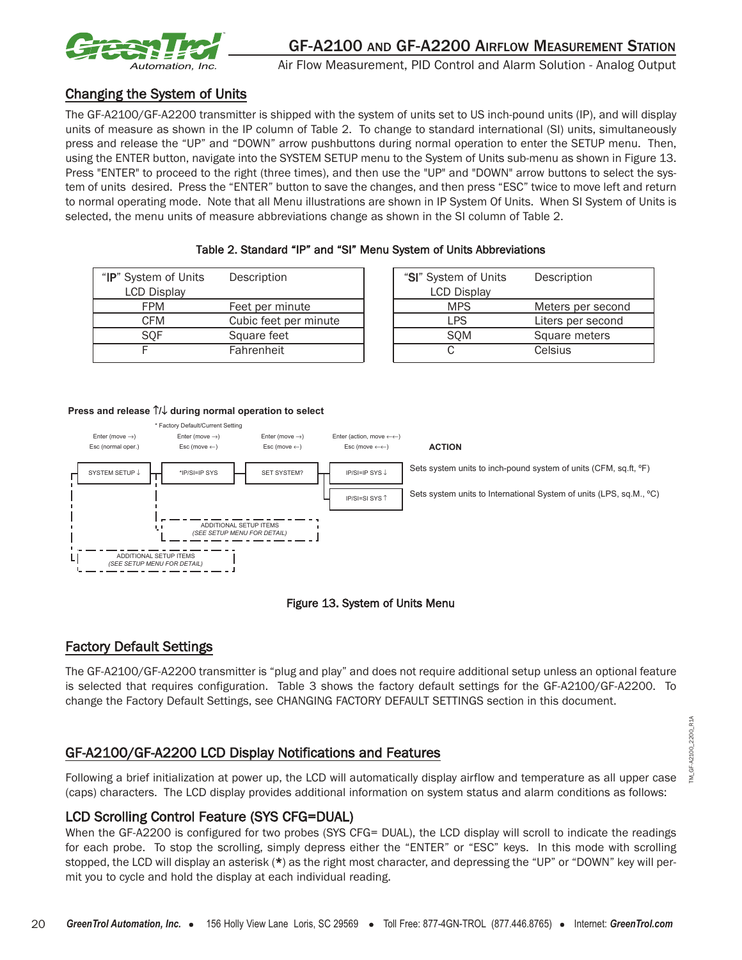

## Changing the System of Units

The GF-A2100/GF-A2200 transmitter is shipped with the system of units set to US inch-pound units (IP), and will display units of measure as shown in the IP column of Table 2. To change to standard international (SI) units, simultaneously press and release the "UP" and "DOWN" arrow pushbuttons during normal operation to enter the SETUP menu. Then, using the ENTER button, navigate into the SYSTEM SETUP menu to the System of Units sub-menu as shown in Figure 13. Press "ENTER" to proceed to the right (three times), and then use the "UP" and "DOWN" arrow buttons to select the system of units desired. Press the "ENTER" button to save the changes, and then press "ESC" twice to move left and return to normal operating mode. Note that all Menu illustrations are shown in IP System Of Units. When SI System of Units is selected, the menu units of measure abbreviations change as shown in the SI column of Table 2.

| "IP" System of Units | Description           | "SI" System of Units | Description     |
|----------------------|-----------------------|----------------------|-----------------|
| <b>LCD Display</b>   |                       | <b>LCD Display</b>   |                 |
| <b>FPM</b>           | Feet per minute       | <b>MPS</b>           | Meters per sec  |
| CFM                  | Cubic feet per minute | <b>LPS</b>           | Liters per seco |
| SOF                  | Square feet           | <b>SOM</b>           | Square meters   |
|                      | Fahrenheit            |                      | Celsius         |

| tem of Units<br>Display | Description           | "SI" System of Units<br><b>LCD Display</b> | Description       |
|-------------------------|-----------------------|--------------------------------------------|-------------------|
| <b>FPM</b>              | Feet per minute       | <b>MPS</b>                                 | Meters per second |
| CFM                     | Cubic feet per minute | LPS                                        | Liters per second |
| SQF                     | Square feet           | SQM                                        | Square meters     |
| F                       | Fahrenheit            |                                            | Celsius           |

#### **Press and release** ↑**/**↓ **during normal operation to select**



#### Figure 13. System of Units Menu

## Factory Default Settings

The GF-A2100/GF-A2200 transmitter is "plug and play" and does not require additional setup unless an optional feature is selected that requires configuration. Table 3 shows the factory default settings for the GF-A2100/GF-A2200. To change the Factory Default Settings, see CHANGING FACTORY DEFAULT SETTINGS section in this document.

## GF-A2100/GF-A2200 LCD Display Notifications and Features

Following a brief initialization at power up, the LCD will automatically display airflow and temperature as all upper case (caps) characters. The LCD display provides additional information on system status and alarm conditions as follows:

#### LCD Scrolling Control Feature (SYS CFG=DUAL)

When the GF-A2200 is configured for two probes (SYS CFG= DUAL), the LCD display will scroll to indicate the readings for each probe. To stop the scrolling, simply depress either the "ENTER" or "ESC" keys. In this mode with scrolling stopped, the LCD will display an asterisk (\*) as the right most character, and depressing the "UP" or "DOWN" key will permit you to cycle and hold the display at each individual reading.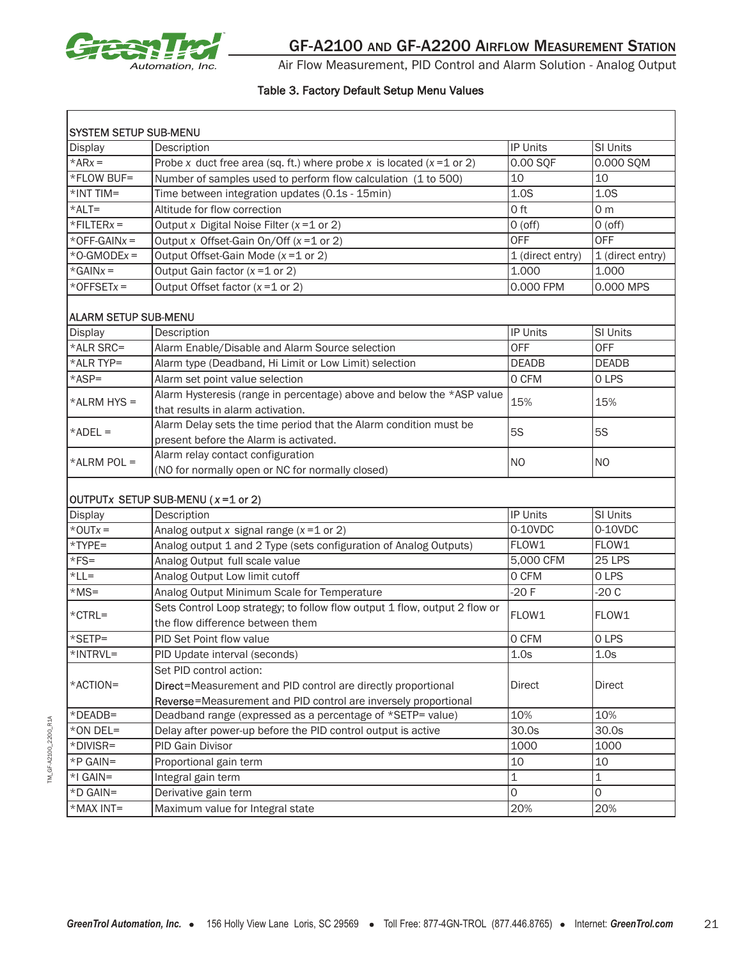

#### Table 3. Factory Default Setup Menu Values

| <b>SYSTEM SETUP SUB-MENU</b> |                                                                                                                |                  |                  |  |  |  |  |
|------------------------------|----------------------------------------------------------------------------------------------------------------|------------------|------------------|--|--|--|--|
| Display                      | Description                                                                                                    | <b>IP Units</b>  | SI Units         |  |  |  |  |
| $*ARx =$                     | Probe x duct free area (sq. ft.) where probe x is located $(x=1 \text{ or } 2)$<br>0.00 SQF<br>0.000 SQM       |                  |                  |  |  |  |  |
| *FLOW BUF=                   | 10<br>10<br>Number of samples used to perform flow calculation (1 to 500)                                      |                  |                  |  |  |  |  |
| $*INT TIM =$                 | 1.0S<br>1.0S<br>Time between integration updates (0.1s - 15min)                                                |                  |                  |  |  |  |  |
| $*$ ALT=                     | Altitude for flow correction<br>0 ft<br>0 <sub>m</sub>                                                         |                  |                  |  |  |  |  |
| $*$ FILTER $x =$             | Output x Digital Noise Filter ( $x = 1$ or 2)                                                                  | $O($ off $)$     | $O($ off $)$     |  |  |  |  |
| *OFF-GAIN $x =$              | Output x Offset-Gain On/Off $(x=1 \text{ or } 2)$                                                              | <b>OFF</b>       | <b>OFF</b>       |  |  |  |  |
| $*$ O-GMODE $x =$            | Output Offset-Gain Mode (x=1 or 2)                                                                             | 1 (direct entry) | 1 (direct entry) |  |  |  |  |
| $*GAINx =$                   | Output Gain factor $(x=1 \text{ or } 2)$                                                                       | 1.000            | 1.000            |  |  |  |  |
| $*$ OFFSET $x =$             | Output Offset factor $(x=1 \text{ or } 2)$                                                                     | 0.000 FPM        | 0.000 MPS        |  |  |  |  |
| <b>ALARM SETUP SUB-MENU</b>  |                                                                                                                |                  |                  |  |  |  |  |
| <b>Display</b>               | Description                                                                                                    | IP Units         | SI Units         |  |  |  |  |
| *ALR SRC=                    | Alarm Enable/Disable and Alarm Source selection                                                                | <b>OFF</b>       | <b>OFF</b>       |  |  |  |  |
| *ALR TYP=                    | Alarm type (Deadband, Hi Limit or Low Limit) selection                                                         | <b>DEADB</b>     | <b>DEADB</b>     |  |  |  |  |
| *ASP=                        | Alarm set point value selection                                                                                | 0 CFM            | 0 LPS            |  |  |  |  |
| $*ALRM$ HYS =                | Alarm Hysteresis (range in percentage) above and below the *ASP value<br>that results in alarm activation.     | 15%              | 15%              |  |  |  |  |
| $*ADEL =$                    | Alarm Delay sets the time period that the Alarm condition must be<br>present before the Alarm is activated.    | <b>5S</b>        | <b>5S</b>        |  |  |  |  |
| *ALRM POL =                  | Alarm relay contact configuration<br>(NO for normally open or NC for normally closed)                          | N <sub>O</sub>   | <b>NO</b>        |  |  |  |  |
|                              | OUTPUTx SETUP SUB-MENU (x=1 or 2)                                                                              |                  |                  |  |  |  |  |
| <b>Display</b>               | Description                                                                                                    | <b>IP Units</b>  | SI Units         |  |  |  |  |
| $*$ OUT $x =$                | Analog output x signal range $(x=1$ or 2)                                                                      | 0-10VDC          | 0-10VDC          |  |  |  |  |
| *TYPE=                       | Analog output 1 and 2 Type (sets configuration of Analog Outputs)                                              | FLOW1            | FLOW1            |  |  |  |  |
| $*FS=$                       | Analog Output full scale value                                                                                 | 5,000 CFM        | <b>25 LPS</b>    |  |  |  |  |
| $*LL =$                      | Analog Output Low limit cutoff                                                                                 | 0 CFM            | 0 LPS            |  |  |  |  |
| $*MS =$                      | Analog Output Minimum Scale for Temperature                                                                    | $-20F$           | $-20C$           |  |  |  |  |
| $*$ CTRL=                    | Sets Control Loop strategy; to follow flow output 1 flow, output 2 flow or<br>the flow difference between them | FLOW1            | FLOW1            |  |  |  |  |
| *SETP=                       | PID Set Point flow value                                                                                       | 0 CFM            | 0 LPS            |  |  |  |  |
| *INTRVL=                     | PID Update interval (seconds)                                                                                  | 1.0s             | 1.0s             |  |  |  |  |
|                              | Set PID control action:                                                                                        |                  |                  |  |  |  |  |
| *ACTION=                     | Direct=Measurement and PID control are directly proportional                                                   | <b>Direct</b>    | Direct           |  |  |  |  |
|                              | Reverse=Measurement and PID control are inversely proportional                                                 |                  |                  |  |  |  |  |
| *DEADB=                      | Deadband range (expressed as a percentage of *SETP= value)                                                     | 10%              | 10%              |  |  |  |  |
| *ON DEL=                     | Delay after power-up before the PID control output is active<br>30.0s<br>30.0s                                 |                  |                  |  |  |  |  |
| *DIVISR=                     | PID Gain Divisor<br>1000<br>1000                                                                               |                  |                  |  |  |  |  |
| *P GAIN=                     | 10<br>10<br>Proportional gain term                                                                             |                  |                  |  |  |  |  |
| $*$ I GAIN=                  | $\mathbf 1$<br>$\mathbf{1}$<br>Integral gain term                                                              |                  |                  |  |  |  |  |
| *D GAIN=                     | Derivative gain term                                                                                           | 0                | O                |  |  |  |  |
| *MAX INT=                    | Maximum value for Integral state                                                                               | 20%              | 20%              |  |  |  |  |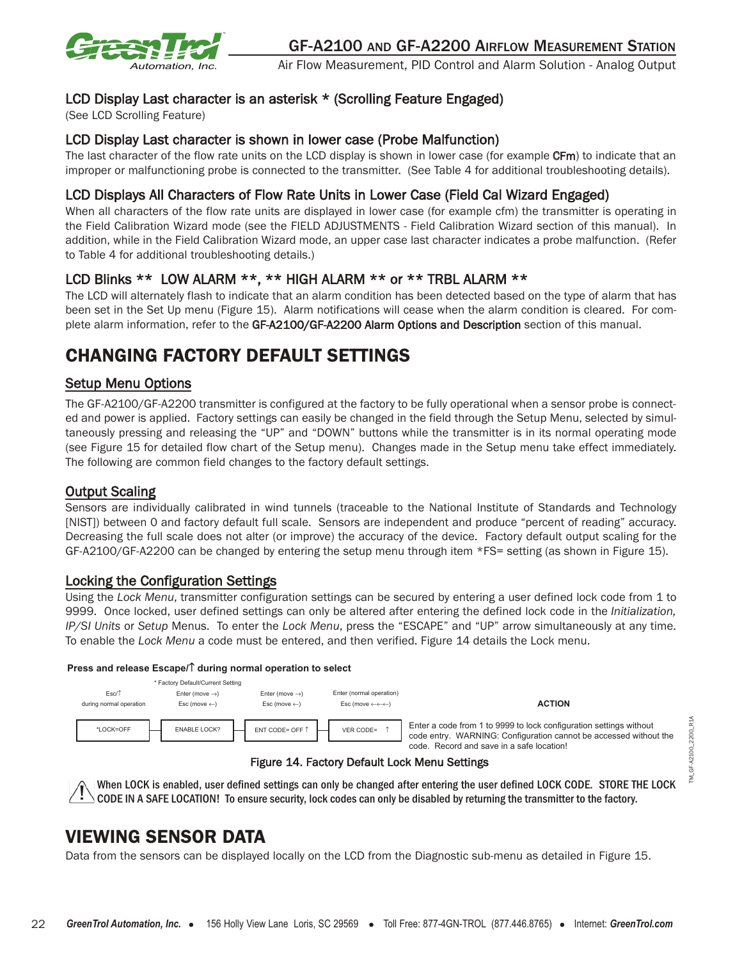

## LCD Display Last character is an asterisk \* (Scrolling Feature Engaged)

(See LCD Scrolling Feature)

## LCD Display Last character is shown in lower case (Probe Malfunction)

The last character of the flow rate units on the LCD display is shown in lower case (for example CFm) to indicate that an improper or malfunctioning probe is connected to the transmitter. (See Table 4 for additional troubleshooting details).

## LCD Displays All Characters of Flow Rate Units in Lower Case (Field Cal Wizard Engaged)

When all characters of the flow rate units are displayed in lower case (for example cfm) the transmitter is operating in the Field Calibration Wizard mode (see the FIELD ADJUSTMENTS - Field Calibration Wizard section of this manual). In addition, while in the Field Calibration Wizard mode, an upper case last character indicates a probe malfunction. (Refer to Table 4 for additional troubleshooting details.)

## LCD Blinks \*\* LOW ALARM \*\*, \*\* HIGH ALARM \*\* or \*\* TRBL ALARM \*\*

The LCD will alternately flash to indicate that an alarm condition has been detected based on the type of alarm that has been set in the Set Up menu (Figure 15). Alarm notifications will cease when the alarm condition is cleared. For complete alarm information, refer to the GF-A2100/GF-A2200 Alarm Options and Description section of this manual.

# CHANGING FACTORY DEFAULT SETTINGS

## Setup Menu Options

The GF-A2100/GF-A2200 transmitter is configured at the factory to be fully operational when a sensor probe is connected and power is applied. Factory settings can easily be changed in the field through the Setup Menu, selected by simultaneously pressing and releasing the "UP" and "DOWN" buttons while the transmitter is in its normal operating mode (see Figure 15 for detailed flow chart of the Setup menu). Changes made in the Setup menu take effect immediately. The following are common field changes to the factory default settings.

## Output Scaling

Sensors are individually calibrated in wind tunnels (traceable to the National Institute of Standards and Technology [NIST]) between 0 and factory default full scale. Sensors are independent and produce "percent of reading" accuracy. Decreasing the full scale does not alter (or improve) the accuracy of the device. Factory default output scaling for the GF-A2100/GF-A2200 can be changed by entering the setup menu through item \*FS= setting (as shown in Figure 15).

#### Locking the Configuration Settings

Using the *Lock Menu*, transmitter configuration settings can be secured by entering a user defined lock code from 1 to 9999. Once locked, user defined settings can only be altered after entering the defined lock code in the *Initialization, IP/SI Units* or *Setup* Menus. To enter the *Lock Menu*, press the "ESCAPE" and "UP" arrow simultaneously at any time. To enable the *Lock Menu* a code must be entered, and then verified. Figure 14 details the Lock menu.

#### **Press and release Escape/**↑ **during normal operation to select**



#### Figure 14. Factory Default Lock Menu Settings

When LOCK is enabled, user defined settings can only be changed after entering the user defined LOCK CODE. STORE THE LOCK CODE IN A SAFE LOCATION! To ensure security, lock codes can only be disabled by returning the transmitter to the factory.

TM\_GF-A2100\_2200\_R1A

 $-6F - A2100 - 2200$ 

E,

R<sub>1</sub>A

# VIEWING SENSOR DATA

Data from the sensors can be displayed locally on the LCD from the Diagnostic sub-menu as detailed in Figure 15.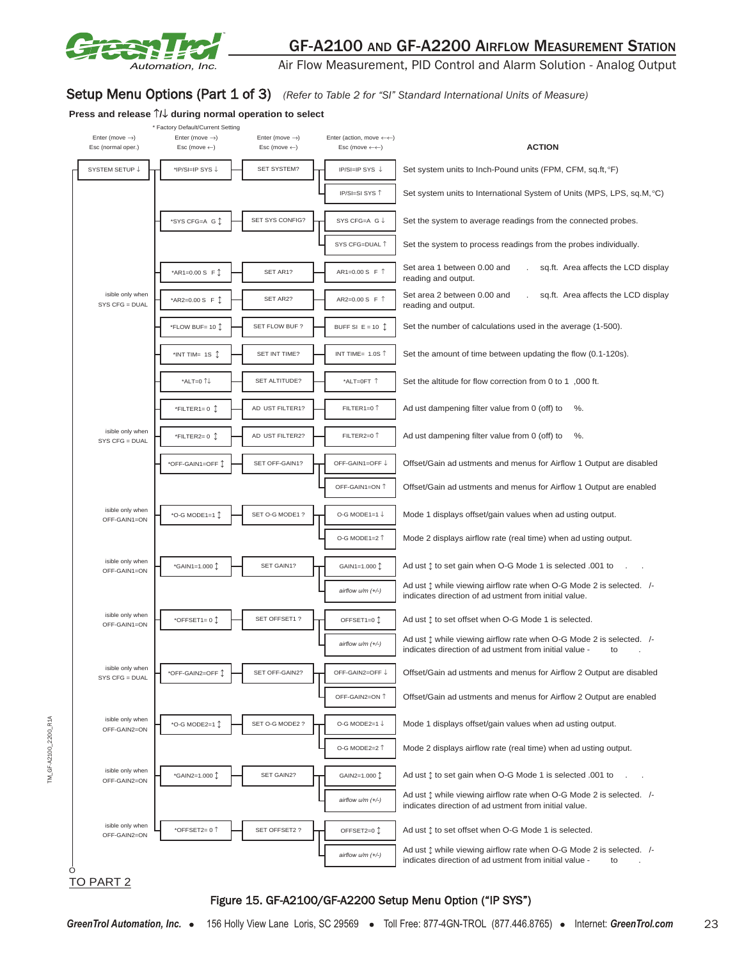

Air Flow Measurement, PID Control and Alarm Solution - Analog Output

## Setup Menu Options (Part 1 of 3) (Refer to Table 2 for "SI" Standard International Units of Measure)

#### **Press and release** ↑**/**↓ **during normal operation to select**  \* Factory Default/Current Setting Enter (move →) Enter (move →) Enter (move →) Enter (action, move ←←) Esc (normal oper.) Esc (move ←) Esc (move ←) Esc (move ←←) **ACTION** isible only when SYS CFG = DUAL isible only when SYS CFG = DUAL isible only when OFF-GAIN1=ON SYS CFG=DUAL ↑ \*AR2=0.00 S F Ľ SET AR2? AR2=0.00 S F ↑ AR1=0.00 S F ↑ OFF-GAIN1=ON ↑ \*OFF-GAIN1=OFF Ľ SET OFF-GAIN1? OFF-GAIN1=OFF ↓ \*ALT=0 ↑↓ Set area 2 between 0.00 and . sq.ft. Area affects the LCD display reading and output. \*FILTER2= 0 1 AD UST FILTER2? FILTER2=0 ↑ Ad ust dampening filter value from 0 (off) to %. Offset/Gain ad ustments and menus for Airflow 1 Output are enabled \*SYS CFG=A G  $\downarrow$  SET SYS CONFIG?  $\downarrow$  SYS CFG=A G  $\downarrow$  Set the system to average readings from the connected probes. Ad ust dampening filter value from  $0$  (off) to %. IP/SI=IP SYS ↓ SET AR1? IP/SI=SI SYS ↑ SET SYSTEM? \*AR1=0.00 S F  $\uparrow$  $*$ INT TIM= 1S  $\updownarrow$  SET INT TIME? \*O-G MODE1=1 Ľ SET O-G MODE1 ? AD UST FILTER1? SYSTEM SETUP ↓ <sub>TH</sub> \*IP/SI=IP SYS ↓ - SET SYSTEM? THE IP/SI=IP SYS ↓ Set system units to Inch-Pound units (FPM, CFM, sq.ft, °F) Set system units to International System of Units (MPS, LPS, sq.M, °C) \*FLOW BUF= 10  $\uparrow$  SET FLOW BUF ? \*FILTER1=  $0$   $\updownarrow$ INT TIME= 1.0S  $\uparrow$  Set the amount of time between updating the flow (0.1-120s). FILTER1=0 ↑ BUFF SI E = 10  $\updownarrow$  Set the number of calculations used in the average (1-500). O-G MODE1=1 ↓ Mode 1 displays offset/gain values when ad usting output. Set area 1 between 0.00 and . sq.ft. Area affects the LCD display reading and output. Set the system to process readings from the probes individually. SET ALTITUDE?  $\begin{array}{|c|c|c|c|c|}\n\hline\n\end{array}$  \*ALT=0FT 1 Set the altitude for flow correction from 0 to 1 ,000 ft. Offset/Gain ad ustments and menus for Airflow 1 Output are disabled isible only when OFF-GAIN1=ON isible only when OFF-GAIN1=ON isible only when  $SYS CFG = DUAL$ isible only when OFF-GAIN2=ON isible only when OFF-GAIN2=ON isible only when OFF-GAIN2=ON *airflow u/m (+/-)* Ad ust  $\updownarrow$  while viewing airflow rate when O-G Mode 2 is selected. /-<br>airflow u/m (+/-) indicates direction of ad ustment from initial value - to indicates direction of ad ustment from initial value *airflow u/m (+/-)* Ad ust  $\updownarrow$  while viewing airflow rate when O-G Mode 2 is selected. /indicates direction of ad ustment from initial value.  $*$ OFFSET2= 0 ↑  $\Box$  SET OFFSET2 ?  $\Box$  OFFSET2=0 ↑ Ad ust ↑ to set offset when O-G Mode 1 is selected. O-G MODE2=2 ↑ Mode 2 displays airflow rate (real time) when ad usting output.  $\begin{array}{ccc} \hbox{``GAIN2=1.000 $\uparrow$} & \begin{array}{ccc} \hbox{``GAIN2=1.000 $\uparrow$} & \multicolumn{3}{c}{\text{GAIN2=1.000 $\uparrow$} & \text{A} \end{array}$ \hbox{''GAIN2=1.000 $\uparrow$} & \text{A} \end{array} \hbox{''GAIN2=1.000 to''} \end{array}$ OFF-GAIN2=ON ↑ Offset/Gain ad ustments and menus for Airflow 2 Output are enabled  $\cdot$ o-G MODE2=1  $\uparrow$  SET O-G MODE2 ?  $\leftarrow$  0-G MODE2=1 ↓ Mode 1 displays offset/gain values when ad usting output. *airflow u/m (+/-)* Ad ust  $\downarrow$  while viewing airflow rate when O-G Mode 2 is selected. /-<br>airflow u/m (+/-) indicates direction of ad ustment from initial value - to indicates direction of ad ustment from initial value -\*OFF-GAIN2=OFF Ľ SET OFF-GAIN2? OFF-GAIN2=OFF ↓ Offset/Gain ad ustments and menus for Airflow 2 Output are disabled airflow u/m (+/-) Ad ust  $\updownarrow$  while viewing airflow rate when O-G Mode 2 is selected. /indicates direction of ad ustment from initial value.  $\text{``OFFSET1= 0 \text{''} } \quad \text{--} \quad \text{--} \quad \text{--} \quad \text{--} \quad \text{--} \quad \text{--} \quad \text{--} \quad \text{--} \quad \text{--} \quad \text{--} \quad \text{--} \quad \text{--} \quad \text{--} \quad \text{--} \quad \text{--} \quad \text{--} \quad \text{--} \quad \text{--} \quad \text{--} \quad \text{--} \quad \text{--} \quad \text{--} \quad \text{--} \quad \text{--} \quad \text{--} \quad \text{--} \quad \text{--} \quad \text{--} \quad \text{--} \$  $*$ GAIN1=1.000  $\updownarrow$  SET GAIN1? O-G MODE1=2 ↑ Mode 2 displays airflow rate (real time) when ad usting output. GAIN2=1.000  $\uparrow$ SET OFFSET2 ? GAIN1=1.000  $\updownarrow$  Ad ust  $\updownarrow$  to set gain when O-G Mode 1 is selected .001 to O

TO PART 2

TM\_GF-A2100\_2200\_R1A

A2100 2200 Ġ M

R<sub>1</sub>A

#### Figure 15. GF-A2100/GF-A2200 Setup Menu Option ("IP SYS")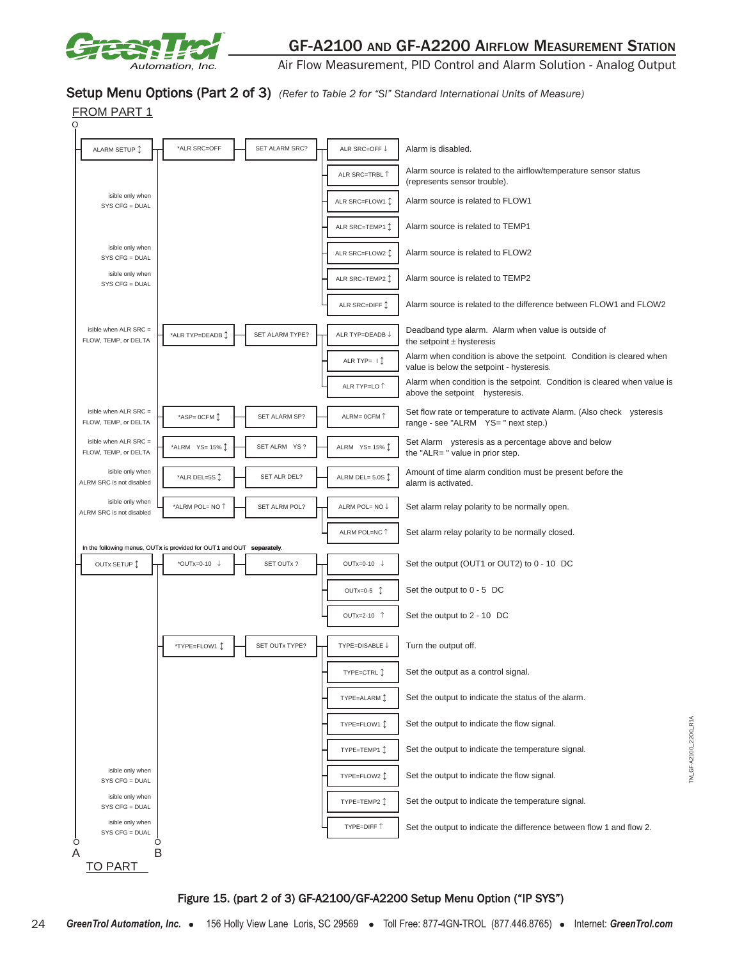

Air Flow Measurement, PID Control and Alarm Solution - Analog Output

#### Setup Menu Options (Part 2 of 3) (Refer to Table 2 for "SI" Standard International Units of Measure)



#### Figure 15. (part 2 of 3) GF-A2100/GF-A2200 Setup Menu Option ("IP SYS")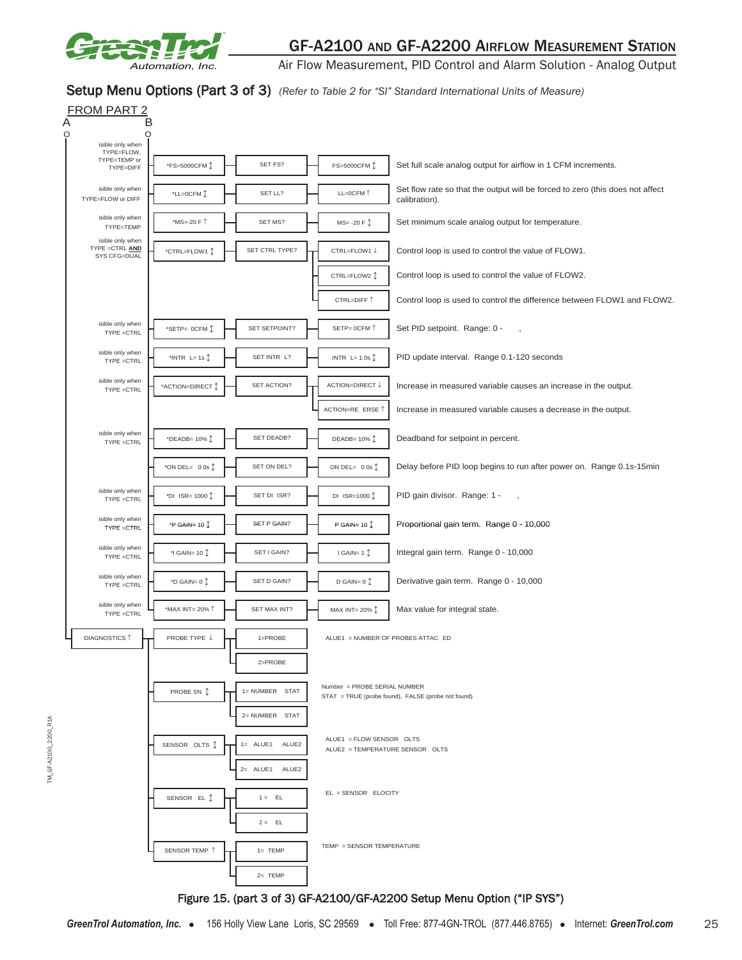

TM\_GF-A2100\_2200\_R1A

TM\_GF-A2100\_2200\_R1A

## GF-A2100 AND GF-A2200 AIRFLOW MEASUREMENT STATION

Air Flow Measurement, PID Control and Alarm Solution - Analog Output

#### Setup Menu Options (Part 3 of 3) *(Refer to Table 2 for "SI" Standard International Units of Measure)*

| FROM PART 2<br>A                                    |                                    |                      |                                                             |                                                                                                |
|-----------------------------------------------------|------------------------------------|----------------------|-------------------------------------------------------------|------------------------------------------------------------------------------------------------|
| O<br>O<br>isible only when                          |                                    |                      |                                                             |                                                                                                |
| TYPE=FLOW,<br>TYPE=TEMP or                          | *FS=5000CFM 1                      | SET FS?              | FS=5000CFM 1                                                | Set full scale analog output for airflow in 1 CFM increments.                                  |
| TYPE=DIFF                                           |                                    |                      |                                                             |                                                                                                |
| isible only when<br>TYPE=FLOW or DIFF               | *LL=0CFM 1                         | SET LL?              | LL=0CFM 1                                                   | Set flow rate so that the output will be forced to zero (this does not affect<br>calibration). |
| isible only when<br>TYPE=TEMP                       | *MS=-20 F 1                        | SET MS?              | $MS = -20 F$                                                | Set minimum scale analog output for temperature.                                               |
| isible only when<br>TYPE = CTRL AND<br>SYS CFG=DUAL | *CTRL=FLOW1 1                      | SET CTRL TYPE?       | CTRL=FLOW1 ↓                                                | Control loop is used to control the value of FLOW1.                                            |
|                                                     |                                    |                      | CTRL=FLOW2 1                                                | Control loop is used to control the value of FLOW2.                                            |
|                                                     |                                    |                      | CTRL=DIFF 1                                                 | Control loop is used to control the difference between FLOW1 and FLOW2.                        |
| isible only when<br>TYPE =CTRL                      | *SETP= OCFM 1                      | SET SETPOINT?        | SETP= OCFM 1                                                | Set PID setpoint. Range: 0 -                                                                   |
| isible only when<br>TYPE =CTRL                      | *INTR $L = 1s$                     | SET INTR L?          | INTR $L = 1.0s$                                             | PID update interval. Range 0.1-120 seconds                                                     |
| isible only when<br>TYPE =CTRL                      | *ACTION=DIRECT 1                   | SET ACTION?          | ACTION=DIRECT↓                                              | Increase in measured variable causes an increase in the output.                                |
|                                                     |                                    |                      | ACTION=RE ERSE 1                                            | Increase in measured variable causes a decrease in the output.                                 |
| isible only when<br>TYPE =CTRL                      | *DEADB= 10% 1                      | SET DEADB?           | DEADB= $10\%$ $\updownarrow$                                | Deadband for setpoint in percent.                                                              |
|                                                     | *ON DEL= $0.0s$ $\hat{\downarrow}$ | SET ON DEL?          | ON DEL= $0.0s$ $\updownarrow$                               | Delay before PID loop begins to run after power on. Range 0.1s-15min                           |
| isible only when<br>TYPE =CTRL                      | *DI ISR= 1000 1                    | SET DI ISR?          | DI ISR=1000 1                                               | PID gain divisor. Range: 1 -                                                                   |
| isible only when<br>TYPE =CTRL                      | *P GAIN= 10 $\hat{\mathbb{L}}$     | SET P GAIN?          | P GAIN= $10$ $\hat{J}$                                      | Proportional gain term. Range 0 - 10,000                                                       |
| isible only when<br>TYPE =CTRL                      | *I GAIN= 10 $\hat{\mathbb{L}}$     | SET I GAIN?          | I GAIN= $1 \uparrow$                                        | Integral gain term. Range 0 - 10,000                                                           |
| isible only when<br>TYPE =CTRL                      | *D GAIN= $0$ $\hat{1}$             | SET D GAIN?          | D GAIN= $0$ $\updownarrow$                                  | Derivative gain term. Range 0 - 10,000                                                         |
| isible only when<br>TYPE =CTRL                      | *MAX INT= 20% 1                    | SET MAX INT?         | MAX INT= 20% 1                                              | Max value for integral state.                                                                  |
| <b>DIAGNOSTICS 1</b>                                | PROBE TYPE ↓                       | $1 = PROBE$          | ALUE1 = NUMBER OF PROBES ATTAC ED                           |                                                                                                |
|                                                     |                                    | $2 = PROBE$          |                                                             |                                                                                                |
|                                                     | PROBE SN 1                         | 1= NUMBER STAT       | Number = PROBE SERIAL NUMBER                                | STAT = TRUE (probe found), FALSE (probe not found)                                             |
|                                                     |                                    | 2= NUMBER STAT       |                                                             |                                                                                                |
|                                                     | SENSOR OLTS <sup>1</sup>           | $1 = ALUE1$<br>ALUE2 | ALUE1 = FLOW SENSOR OLTS<br>ALUE2 = TEMPERATURE SENSOR OLTS |                                                                                                |
|                                                     |                                    | 2= ALUE1 ALUE2       |                                                             |                                                                                                |
|                                                     | SENSOR EL Î                        | $1 = EL$             | EL = SENSOR ELOCITY                                         |                                                                                                |
|                                                     |                                    | $2 = EL$             |                                                             |                                                                                                |
|                                                     | SENSOR TEMP 1                      | $1 = TEMP$           | TEMP = SENSOR TEMPERATURE                                   |                                                                                                |
|                                                     |                                    | $2=$ TEMP            |                                                             |                                                                                                |
|                                                     |                                    |                      |                                                             | Figure 15. (part 3 of 3) GF-A2100/GF-A2200 Setup Menu Option ("IP SYS")                        |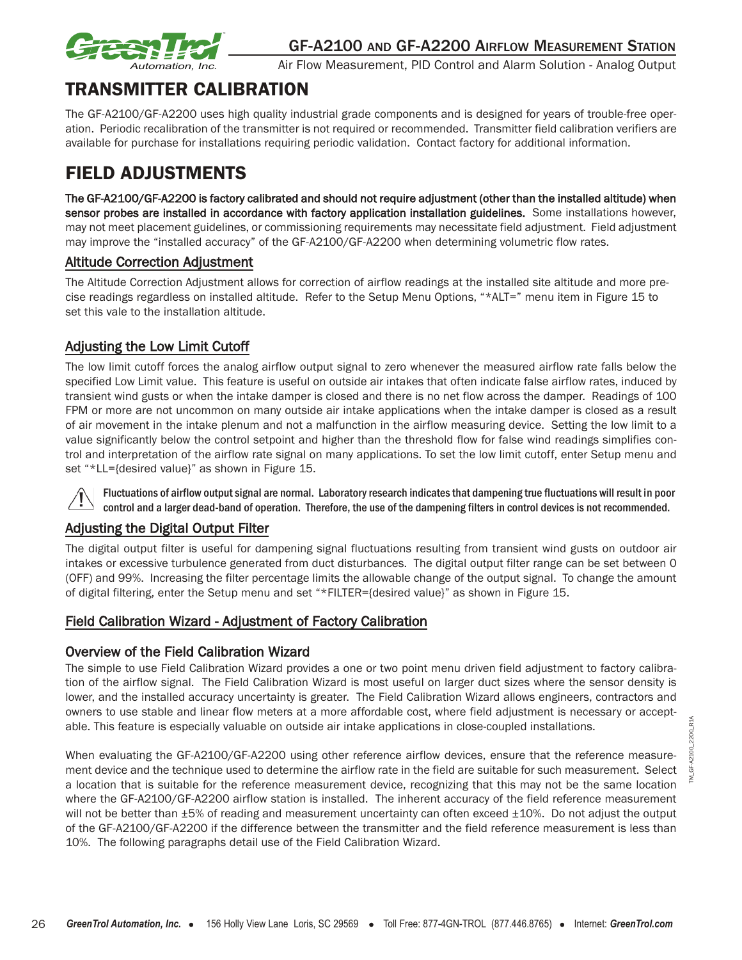

# TRANSMITTER CALIBRATION

The GF-A2100/GF-A2200 uses high quality industrial grade components and is designed for years of trouble-free operation. Periodic recalibration of the transmitter is not required or recommended. Transmitter field calibration verifiers are available for purchase for installations requiring periodic validation. Contact factory for additional information.

# FIELD ADJUSTMENTS

The GF-A2100/GF-A2200 is factory calibrated and should not require adjustment (other than the installed altitude) when sensor probes are installed in accordance with factory application installation guidelines. Some installations however, may not meet placement guidelines, or commissioning requirements may necessitate field adjustment. Field adjustment may improve the "installed accuracy" of the GF-A2100/GF-A2200 when determining volumetric flow rates.

## Altitude Correction Adjustment

The Altitude Correction Adjustment allows for correction of airflow readings at the installed site altitude and more precise readings regardless on installed altitude. Refer to the Setup Menu Options, "\*ALT=" menu item in Figure 15 to set this vale to the installation altitude.

## Adjusting the Low Limit Cutoff

The low limit cutoff forces the analog airflow output signal to zero whenever the measured airflow rate falls below the specified Low Limit value. This feature is useful on outside air intakes that often indicate false airflow rates, induced by transient wind gusts or when the intake damper is closed and there is no net flow across the damper. Readings of 100 FPM or more are not uncommon on many outside air intake applications when the intake damper is closed as a result of air movement in the intake plenum and not a malfunction in the airflow measuring device. Setting the low limit to a value significantly below the control setpoint and higher than the threshold flow for false wind readings simplifies control and interpretation of the airflow rate signal on many applications. To set the low limit cutoff, enter Setup menu and set "\*LL={desired value}" as shown in Figure 15.

Fluctuations of airflow output signal are normal. Laboratory research indicates that dampening true fluctuations will result in poor control and a larger dead-band of operation. Therefore, the use of the dampening filters in control devices is not recommended.

## Adjusting the Digital Output Filter

The digital output filter is useful for dampening signal fluctuations resulting from transient wind gusts on outdoor air intakes or excessive turbulence generated from duct disturbances. The digital output filter range can be set between 0 (OFF) and 99%. Increasing the filter percentage limits the allowable change of the output signal. To change the amount of digital filtering, enter the Setup menu and set "\*FILTER={desired value}" as shown in Figure 15.

## Field Calibration Wizard - Adjustment of Factory Calibration

## Overview of the Field Calibration Wizard

The simple to use Field Calibration Wizard provides a one or two point menu driven field adjustment to factory calibration of the airflow signal. The Field Calibration Wizard is most useful on larger duct sizes where the sensor density is lower, and the installed accuracy uncertainty is greater. The Field Calibration Wizard allows engineers, contractors and owners to use stable and linear flow meters at a more affordable cost, where field adjustment is necessary or acceptable. This feature is especially valuable on outside air intake applications in close-coupled installations.

When evaluating the GF-A2100/GF-A2200 using other reference airflow devices, ensure that the reference measurement device and the technique used to determine the airflow rate in the field are suitable for such measurement. Select a location that is suitable for the reference measurement device, recognizing that this may not be the same location where the GF-A2100/GF-A2200 airflow station is installed. The inherent accuracy of the field reference measurement will not be better than  $\pm 5$ % of reading and measurement uncertainty can often exceed  $\pm 10$ %. Do not adjust the output of the GF-A2100/GF-A2200 if the difference between the transmitter and the field reference measurement is less than 10%. The following paragraphs detail use of the Field Calibration Wizard.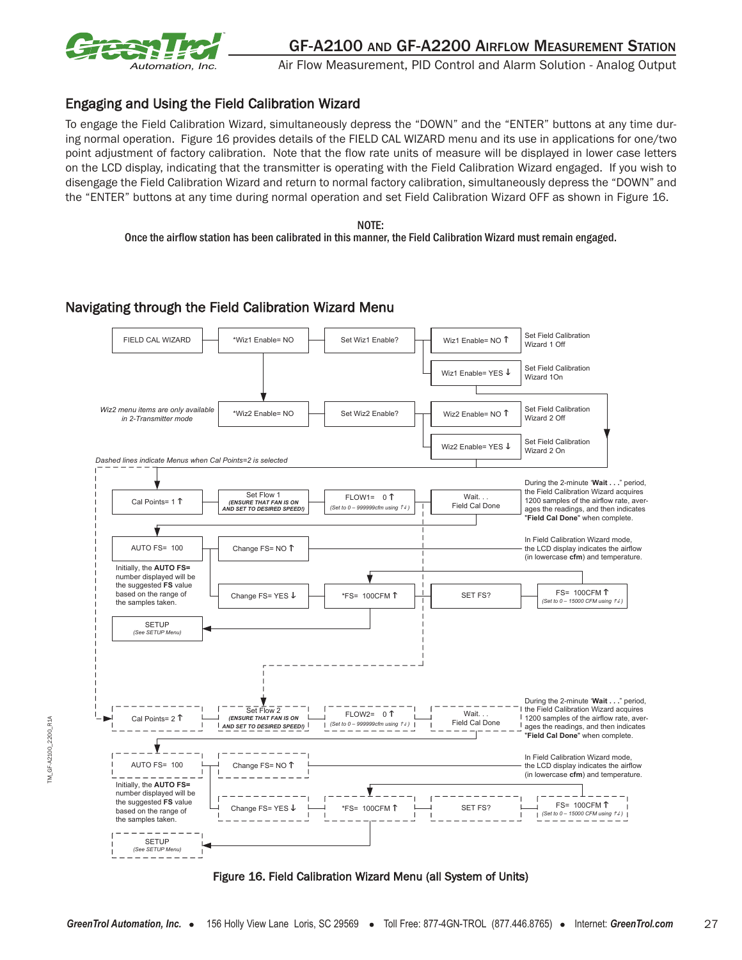

## Engaging and Using the Field Calibration Wizard

To engage the Field Calibration Wizard, simultaneously depress the "DOWN" and the "ENTER" buttons at any time during normal operation. Figure 16 provides details of the FIELD CAL WIZARD menu and its use in applications for one/two point adjustment of factory calibration. Note that the flow rate units of measure will be displayed in lower case letters on the LCD display, indicating that the transmitter is operating with the Field Calibration Wizard engaged. If you wish to disengage the Field Calibration Wizard and return to normal factory calibration, simultaneously depress the "DOWN" and the "ENTER" buttons at any time during normal operation and set Field Calibration Wizard OFF as shown in Figure 16.

NOTE: Once the airflow station has been calibrated in this manner, the Field Calibration Wizard must remain engaged.

## Navigating through the Field Calibration Wizard Menu